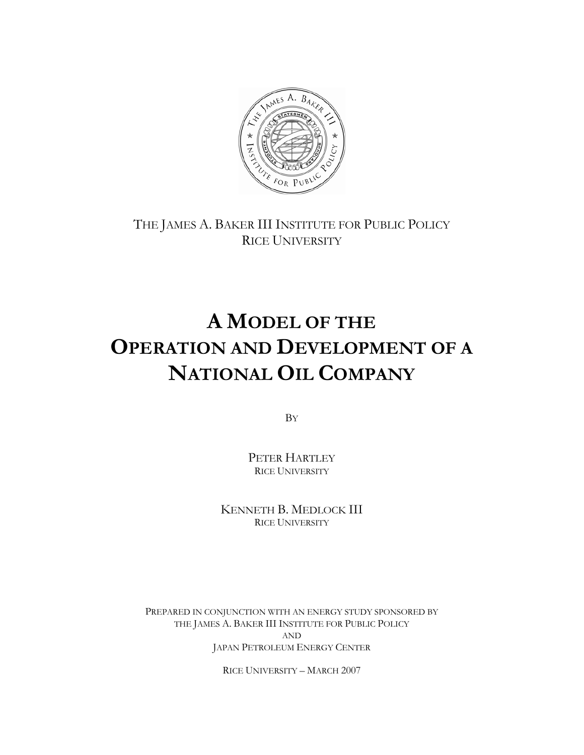

THE JAMES A. BAKER III INSTITUTE FOR PUBLIC POLICY RICE UNIVERSITY

# **A MODEL OF THE OPERATION AND DEVELOPMENT OF A NATIONAL OIL COMPANY**

BY

PETER HARTLEY RICE UNIVERSITY

KENNETH B. MEDLOCK III RICE UNIVERSITY

PREPARED IN CONJUNCTION WITH AN ENERGY STUDY SPONSORED BY THE JAMES A. BAKER III INSTITUTE FOR PUBLIC POLICY AND JAPAN PETROLEUM ENERGY CENTER

RICE UNIVERSITY – MARCH 2007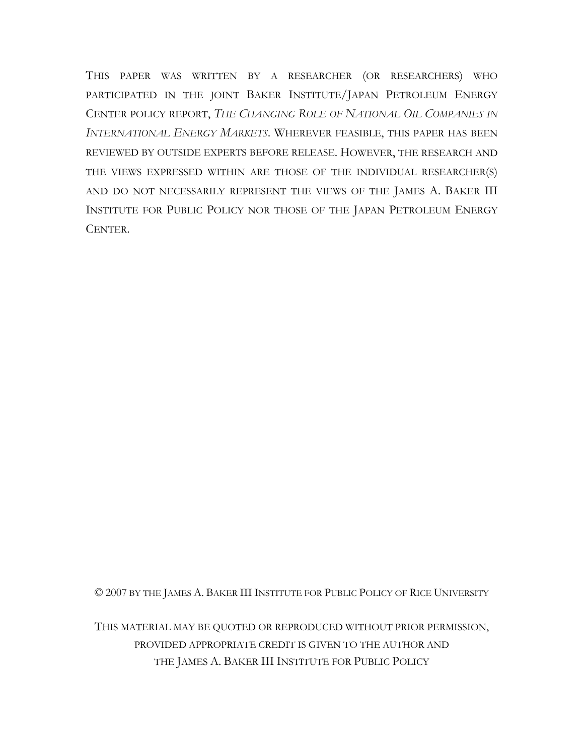THIS PAPER WAS WRITTEN BY A RESEARCHER (OR RESEARCHERS) WHO PARTICIPATED IN THE JOINT BAKER INSTITUTE/JAPAN PETROLEUM ENERGY CENTER POLICY REPORT, *THE CHANGING ROLE OF NATIONAL OIL COMPANIES IN INTERNATIONAL ENERGY MARKETS*. WHEREVER FEASIBLE, THIS PAPER HAS BEEN REVIEWED BY OUTSIDE EXPERTS BEFORE RELEASE. HOWEVER, THE RESEARCH AND THE VIEWS EXPRESSED WITHIN ARE THOSE OF THE INDIVIDUAL RESEARCHER(S) AND DO NOT NECESSARILY REPRESENT THE VIEWS OF THE JAMES A. BAKER III INSTITUTE FOR PUBLIC POLICY NOR THOSE OF THE JAPAN PETROLEUM ENERGY CENTER.

© 2007 BY THE JAMES A. BAKER III INSTITUTE FOR PUBLIC POLICY OF RICE UNIVERSITY

THIS MATERIAL MAY BE QUOTED OR REPRODUCED WITHOUT PRIOR PERMISSION, PROVIDED APPROPRIATE CREDIT IS GIVEN TO THE AUTHOR AND THE JAMES A. BAKER III INSTITUTE FOR PUBLIC POLICY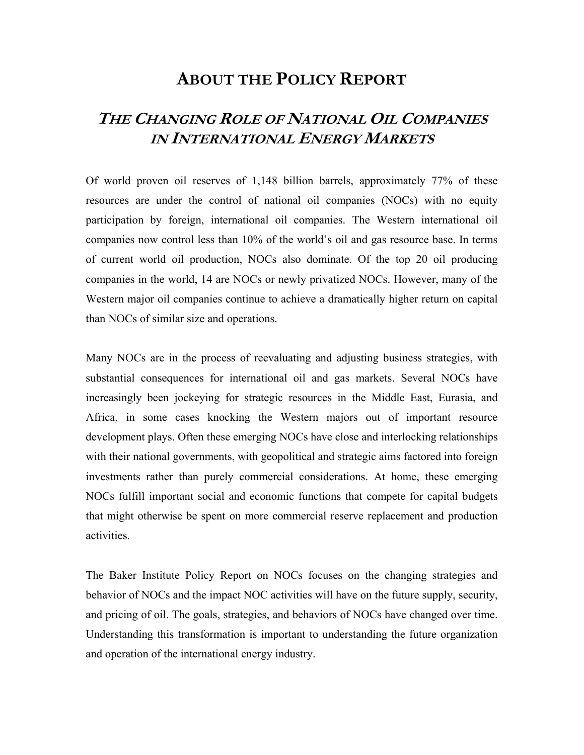## **ABOUT THE POLICY REPORT**

## **THE CHANGING ROLE OF NATIONAL OIL COMPANIES IN INTERNATIONAL ENERGY MARKETS**

Of world proven oil reserves of 1,148 billion barrels, approximately 77% of these resources are under the control of national oil companies (NOCs) with no equity participation by foreign, international oil companies. The Western international oil companies now control less than 10% of the world's oil and gas resource base. In terms of current world oil production, NOCs also dominate. Of the top 20 oil producing companies in the world, 14 are NOCs or newly privatized NOCs. However, many of the Western major oil companies continue to achieve a dramatically higher return on capital than NOCs of similar size and operations.

Many NOCs are in the process of reevaluating and adjusting business strategies, with substantial consequences for international oil and gas markets. Several NOCs have increasingly been jockeying for strategic resources in the Middle East, Eurasia, and Africa, in some cases knocking the Western majors out of important resource development plays. Often these emerging NOCs have close and interlocking relationships with their national governments, with geopolitical and strategic aims factored into foreign investments rather than purely commercial considerations. At home, these emerging NOCs fulfill important social and economic functions that compete for capital budgets that might otherwise be spent on more commercial reserve replacement and production activities.

The Baker Institute Policy Report on NOCs focuses on the changing strategies and behavior of NOCs and the impact NOC activities will have on the future supply, security, and pricing of oil. The goals, strategies, and behaviors of NOCs have changed over time. Understanding this transformation is important to understanding the future organization and operation of the international energy industry.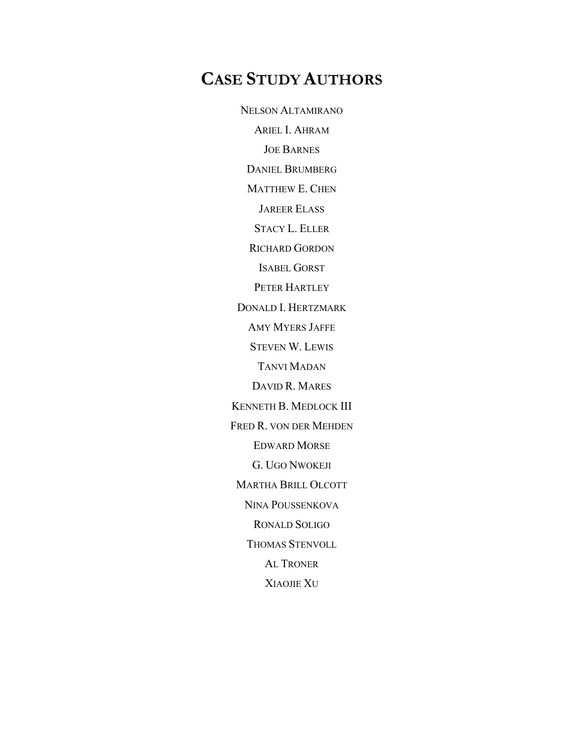## **CASE STUDY AUTHORS**

NELSON ALTAMIRANO ARIEL I. AHRAM JOE BARNES DANIEL BRUMBERG MATTHEW E. CHEN JAREER ELASS STACY L. ELLER RICHARD GORDON ISABEL GORST PETER HARTLEY DONALD I. HERTZMARK AMY MYERS JAFFE STEVEN W. LEWIS TANVI MADAN DAVID R. MARES KENNETH B. MEDLOCK III FRED R. VON DER MEHDEN EDWARD MORSE G. UGO NWOKEJI MARTHA BRILL OLCOTT NINA POUSSENKOVA RONALD SOLIGO THOMAS STENVOLL AL TRONER XIAOJIE XU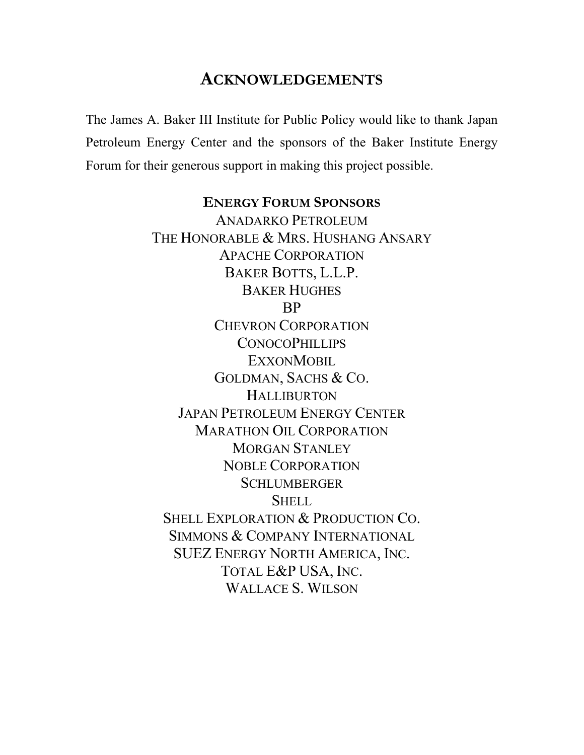## **ACKNOWLEDGEMENTS**

The James A. Baker III Institute for Public Policy would like to thank Japan Petroleum Energy Center and the sponsors of the Baker Institute Energy Forum for their generous support in making this project possible.

## **ENERGY FORUM SPONSORS**

ANADARKO PETROLEUM THE HONORABLE & MRS. HUSHANG ANSARY APACHE CORPORATION BAKER BOTTS, L.L.P. BAKER HUGHES BP CHEVRON CORPORATION **CONOCOPHILLIPS EXXONMOBIL** GOLDMAN, SACHS & CO. HALLIBURTON JAPAN PETROLEUM ENERGY CENTER MARATHON OIL CORPORATION MORGAN STANLEY NOBLE CORPORATION **SCHLUMBERGER SHELL** SHELL EXPLORATION & PRODUCTION CO. SIMMONS & COMPANY INTERNATIONAL SUEZ ENERGY NORTH AMERICA, INC. TOTAL E&P USA, INC. WALLACE S. WILSON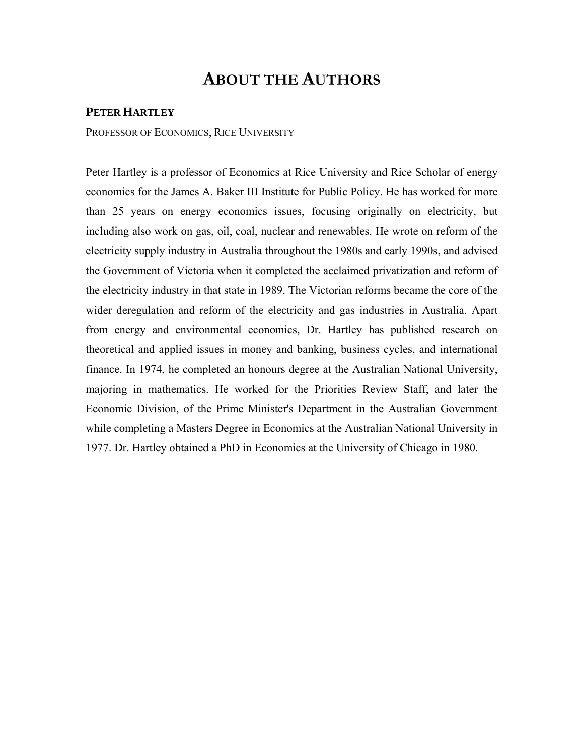## **ABOUT THE AUTHORS**

#### **PETER HARTLEY**

PROFESSOR OF ECONOMICS, RICE UNIVERSITY

Peter Hartley is a professor of Economics at Rice University and Rice Scholar of energy economics for the James A. Baker III Institute for Public Policy. He has worked for more than 25 years on energy economics issues, focusing originally on electricity, but including also work on gas, oil, coal, nuclear and renewables. He wrote on reform of the electricity supply industry in Australia throughout the 1980s and early 1990s, and advised the Government of Victoria when it completed the acclaimed privatization and reform of the electricity industry in that state in 1989. The Victorian reforms became the core of the wider deregulation and reform of the electricity and gas industries in Australia. Apart from energy and environmental economics, Dr. Hartley has published research on theoretical and applied issues in money and banking, business cycles, and international finance. In 1974, he completed an honours degree at the Australian National University, majoring in mathematics. He worked for the Priorities Review Staff, and later the Economic Division, of the Prime Minister's Department in the Australian Government while completing a Masters Degree in Economics at the Australian National University in 1977. Dr. Hartley obtained a PhD in Economics at the University of Chicago in 1980.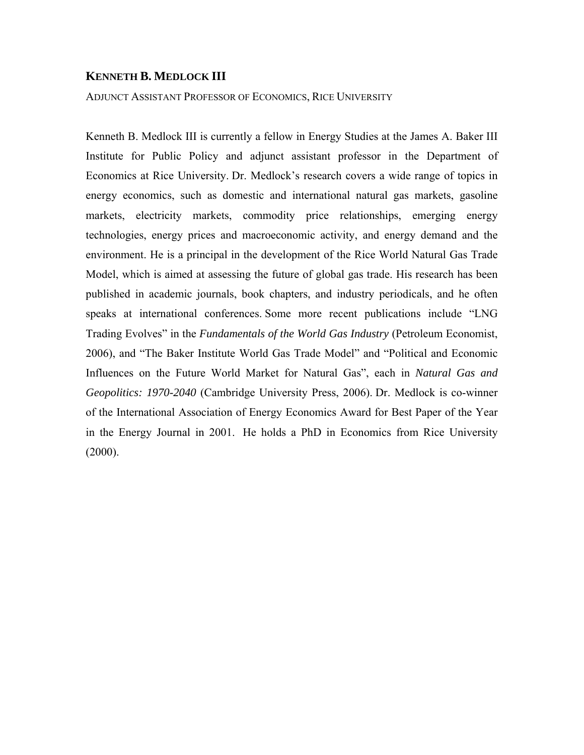#### **KENNETH B. MEDLOCK III**

#### ADJUNCT ASSISTANT PROFESSOR OF ECONOMICS, RICE UNIVERSITY

Kenneth B. Medlock III is currently a fellow in Energy Studies at the James A. Baker III Institute for Public Policy and adjunct assistant professor in the Department of Economics at Rice University. Dr. Medlock's research covers a wide range of topics in energy economics, such as domestic and international natural gas markets, gasoline markets, electricity markets, commodity price relationships, emerging energy technologies, energy prices and macroeconomic activity, and energy demand and the environment. He is a principal in the development of the Rice World Natural Gas Trade Model, which is aimed at assessing the future of global gas trade. His research has been published in academic journals, book chapters, and industry periodicals, and he often speaks at international conferences. Some more recent publications include "LNG Trading Evolves" in the *Fundamentals of the World Gas Industry* (Petroleum Economist, 2006), and "The Baker Institute World Gas Trade Model" and "Political and Economic Influences on the Future World Market for Natural Gas", each in *Natural Gas and Geopolitics: 1970-2040* (Cambridge University Press, 2006). Dr. Medlock is co-winner of the International Association of Energy Economics Award for Best Paper of the Year in the Energy Journal in 2001. He holds a PhD in Economics from Rice University  $(2000)$ .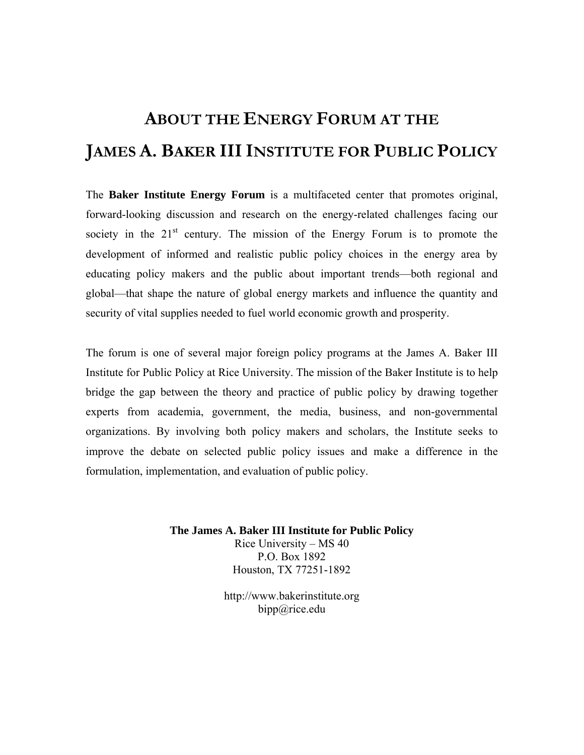# **ABOUT THE ENERGY FORUM AT THE JAMES A. BAKER III INSTITUTE FOR PUBLIC POLICY**

The **Baker Institute Energy Forum** is a multifaceted center that promotes original, forward-looking discussion and research on the energy-related challenges facing our society in the  $21<sup>st</sup>$  century. The mission of the Energy Forum is to promote the development of informed and realistic public policy choices in the energy area by educating policy makers and the public about important trends—both regional and global—that shape the nature of global energy markets and influence the quantity and security of vital supplies needed to fuel world economic growth and prosperity.

The forum is one of several major foreign policy programs at the James A. Baker III Institute for Public Policy at Rice University. The mission of the Baker Institute is to help bridge the gap between the theory and practice of public policy by drawing together experts from academia, government, the media, business, and non-governmental organizations. By involving both policy makers and scholars, the Institute seeks to improve the debate on selected public policy issues and make a difference in the formulation, implementation, and evaluation of public policy.

**The James A. Baker III Institute for Public Policy**

Rice University – MS 40 P.O. Box 1892 Houston, TX 77251-1892

http://www.bakerinstitute.org bipp@rice.edu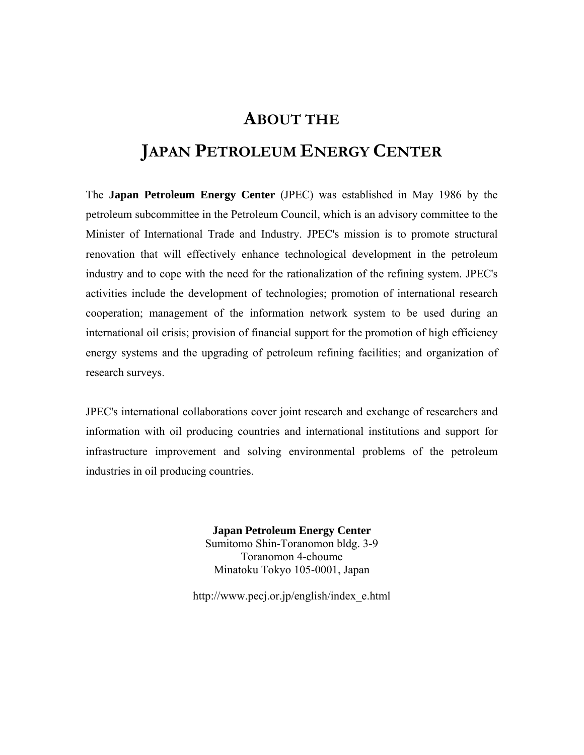## **ABOUT THE**

## **JAPAN PETROLEUM ENERGY CENTER**

The **Japan Petroleum Energy Center** (JPEC) was established in May 1986 by the petroleum subcommittee in the Petroleum Council, which is an advisory committee to the Minister of International Trade and Industry. JPEC's mission is to promote structural renovation that will effectively enhance technological development in the petroleum industry and to cope with the need for the rationalization of the refining system. JPEC's activities include the development of technologies; promotion of international research cooperation; management of the information network system to be used during an international oil crisis; provision of financial support for the promotion of high efficiency energy systems and the upgrading of petroleum refining facilities; and organization of research surveys.

JPEC's international collaborations cover joint research and exchange of researchers and information with oil producing countries and international institutions and support for infrastructure improvement and solving environmental problems of the petroleum industries in oil producing countries.

> **Japan Petroleum Energy Center** Sumitomo Shin-Toranomon bldg. 3-9 Toranomon 4-choume Minatoku Tokyo 105-0001, Japan

http://www.pecj.or.jp/english/index\_e.html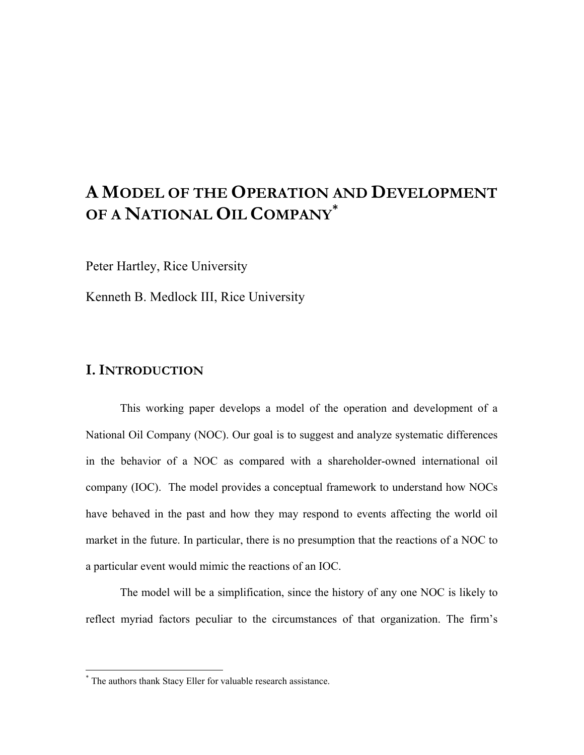## **A MODEL OF THE OPERATION AND DEVELOPMENT OF A NATIONAL OIL COMPANY [\\*](#page-10-0)**

Peter Hartley, Rice University

Kenneth B. Medlock III, Rice University

### **I. INTRODUCTION**

 $\overline{a}$ 

This working paper develops a model of the operation and development of a National Oil Company (NOC). Our goal is to suggest and analyze systematic differences in the behavior of a NOC as compared with a shareholder-owned international oil company (IOC). The model provides a conceptual framework to understand how NOCs have behaved in the past and how they may respond to events affecting the world oil market in the future. In particular, there is no presumption that the reactions of a NOC to a particular event would mimic the reactions of an IOC.

The model will be a simplification, since the history of any one NOC is likely to reflect myriad factors peculiar to the circumstances of that organization. The firm's

<span id="page-10-0"></span><sup>\*</sup> The authors thank Stacy Eller for valuable research assistance.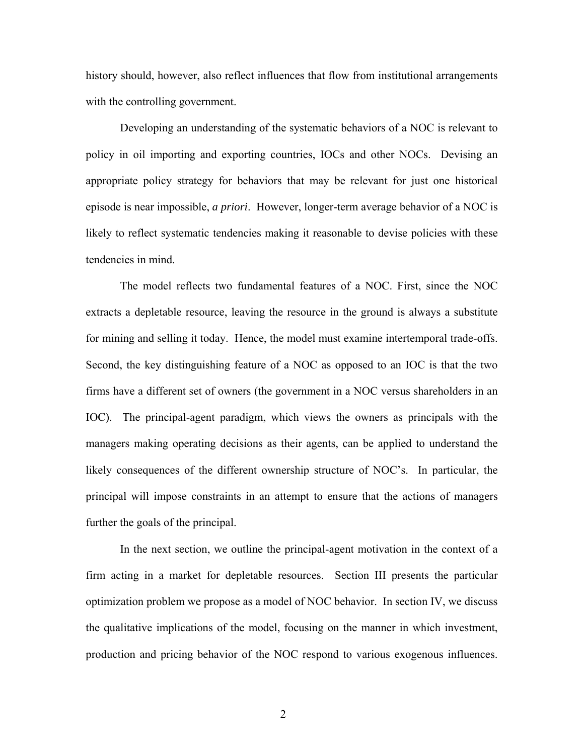history should, however, also reflect influences that flow from institutional arrangements with the controlling government.

Developing an understanding of the systematic behaviors of a NOC is relevant to policy in oil importing and exporting countries, IOCs and other NOCs. Devising an appropriate policy strategy for behaviors that may be relevant for just one historical episode is near impossible, *a priori*. However, longer-term average behavior of a NOC is likely to reflect systematic tendencies making it reasonable to devise policies with these tendencies in mind.

The model reflects two fundamental features of a NOC. First, since the NOC extracts a depletable resource, leaving the resource in the ground is always a substitute for mining and selling it today. Hence, the model must examine intertemporal trade-offs. Second, the key distinguishing feature of a NOC as opposed to an IOC is that the two firms have a different set of owners (the government in a NOC versus shareholders in an IOC). The principal-agent paradigm, which views the owners as principals with the managers making operating decisions as their agents, can be applied to understand the likely consequences of the different ownership structure of NOC's. In particular, the principal will impose constraints in an attempt to ensure that the actions of managers further the goals of the principal.

In the next section, we outline the principal-agent motivation in the context of a firm acting in a market for depletable resources. Section III presents the particular optimization problem we propose as a model of NOC behavior. In section IV, we discuss the qualitative implications of the model, focusing on the manner in which investment, production and pricing behavior of the NOC respond to various exogenous influences.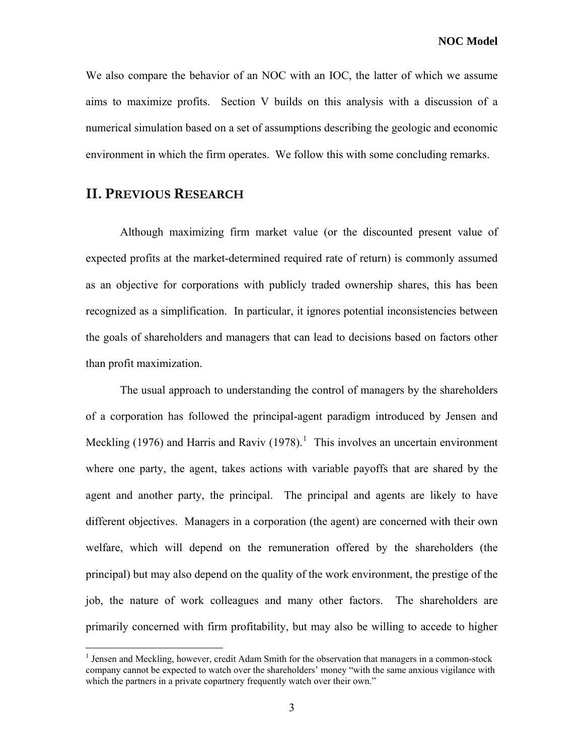**NOC Model** 

We also compare the behavior of an NOC with an IOC, the latter of which we assume aims to maximize profits. Section V builds on this analysis with a discussion of a numerical simulation based on a set of assumptions describing the geologic and economic environment in which the firm operates. We follow this with some concluding remarks.

#### **II. PREVIOUS RESEARCH**

 $\overline{a}$ 

Although maximizing firm market value (or the discounted present value of expected profits at the market-determined required rate of return) is commonly assumed as an objective for corporations with publicly traded ownership shares, this has been recognized as a simplification. In particular, it ignores potential inconsistencies between the goals of shareholders and managers that can lead to decisions based on factors other than profit maximization.

The usual approach to understanding the control of managers by the shareholders of a corporation has followed the principal-agent paradigm introduced by Jensen and Meckling ([1](#page-12-0)976) and Harris and Raviv (1978).<sup>1</sup> This involves an uncertain environment where one party, the agent, takes actions with variable payoffs that are shared by the agent and another party, the principal. The principal and agents are likely to have different objectives. Managers in a corporation (the agent) are concerned with their own welfare, which will depend on the remuneration offered by the shareholders (the principal) but may also depend on the quality of the work environment, the prestige of the job, the nature of work colleagues and many other factors. The shareholders are primarily concerned with firm profitability, but may also be willing to accede to higher

<span id="page-12-0"></span><sup>&</sup>lt;sup>1</sup> Jensen and Meckling, however, credit Adam Smith for the observation that managers in a common-stock company cannot be expected to watch over the shareholders' money "with the same anxious vigilance with which the partners in a private copartnery frequently watch over their own."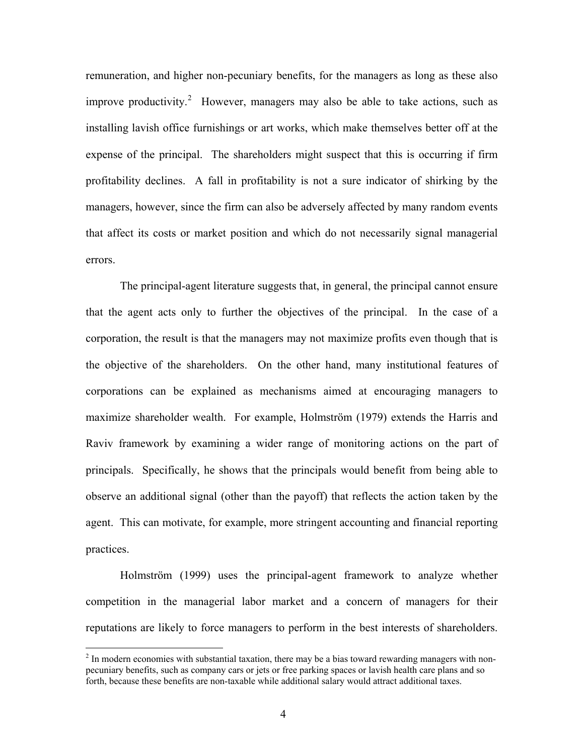remuneration, and higher non-pecuniary benefits, for the managers as long as these also improve productivity.<sup>[2](#page-13-0)</sup> However, managers may also be able to take actions, such as installing lavish office furnishings or art works, which make themselves better off at the expense of the principal. The shareholders might suspect that this is occurring if firm profitability declines. A fall in profitability is not a sure indicator of shirking by the managers, however, since the firm can also be adversely affected by many random events that affect its costs or market position and which do not necessarily signal managerial errors.

The principal-agent literature suggests that, in general, the principal cannot ensure that the agent acts only to further the objectives of the principal. In the case of a corporation, the result is that the managers may not maximize profits even though that is the objective of the shareholders. On the other hand, many institutional features of corporations can be explained as mechanisms aimed at encouraging managers to maximize shareholder wealth. For example, Holmström (1979) extends the Harris and Raviv framework by examining a wider range of monitoring actions on the part of principals. Specifically, he shows that the principals would benefit from being able to observe an additional signal (other than the payoff) that reflects the action taken by the agent. This can motivate, for example, more stringent accounting and financial reporting practices.

Holmström (1999) uses the principal-agent framework to analyze whether competition in the managerial labor market and a concern of managers for their reputations are likely to force managers to perform in the best interests of shareholders.

<span id="page-13-0"></span> $2<sup>2</sup>$  In modern economies with substantial taxation, there may be a bias toward rewarding managers with nonpecuniary benefits, such as company cars or jets or free parking spaces or lavish health care plans and so forth, because these benefits are non-taxable while additional salary would attract additional taxes.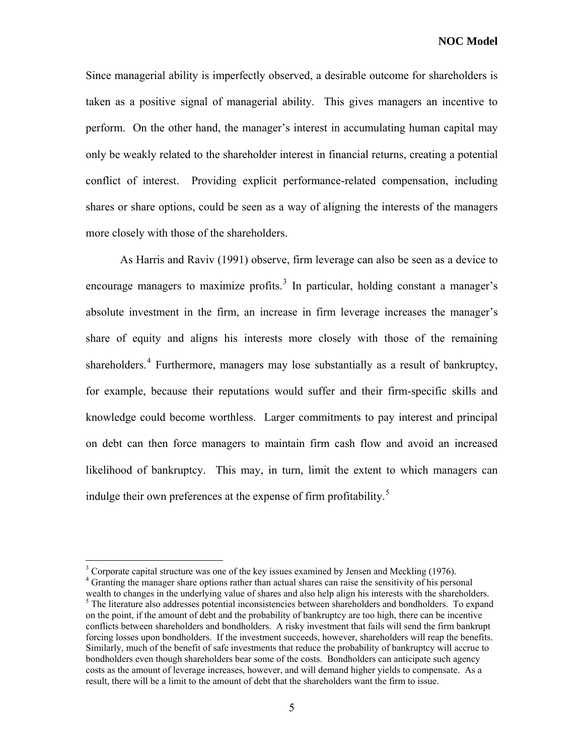Since managerial ability is imperfectly observed, a desirable outcome for shareholders is taken as a positive signal of managerial ability. This gives managers an incentive to perform. On the other hand, the manager's interest in accumulating human capital may only be weakly related to the shareholder interest in financial returns, creating a potential conflict of interest. Providing explicit performance-related compensation, including shares or share options, could be seen as a way of aligning the interests of the managers more closely with those of the shareholders.

As Harris and Raviv (1991) observe, firm leverage can also be seen as a device to encourage managers to maximize profits. $3$  In particular, holding constant a manager's absolute investment in the firm, an increase in firm leverage increases the manager's share of equity and aligns his interests more closely with those of the remaining shareholders.<sup>[4](#page-14-1)</sup> Furthermore, managers may lose substantially as a result of bankruptcy, for example, because their reputations would suffer and their firm-specific skills and knowledge could become worthless. Larger commitments to pay interest and principal on debt can then force managers to maintain firm cash flow and avoid an increased likelihood of bankruptcy. This may, in turn, limit the extent to which managers can indulge their own preferences at the expense of firm profitability.<sup>[5](#page-14-2)</sup>

<sup>&</sup>lt;sup>3</sup> Corporate capital structure was one of the key issues examined by Jensen and Meckling (1976).

<span id="page-14-2"></span><span id="page-14-1"></span><span id="page-14-0"></span><sup>&</sup>lt;sup>4</sup> Granting the manager share options rather than actual shares can raise the sensitivity of his personal wealth to changes in the underlying value of shares and also help align his interests with the shareholders. <sup>5</sup> The literature also addresses potential inconsistencies between shareholders and bondholders. To expand on the point, if the amount of debt and the probability of bankruptcy are too high, there can be incentive conflicts between shareholders and bondholders. A risky investment that fails will send the firm bankrupt forcing losses upon bondholders. If the investment succeeds, however, shareholders will reap the benefits. Similarly, much of the benefit of safe investments that reduce the probability of bankruptcy will accrue to bondholders even though shareholders bear some of the costs. Bondholders can anticipate such agency costs as the amount of leverage increases, however, and will demand higher yields to compensate. As a result, there will be a limit to the amount of debt that the shareholders want the firm to issue.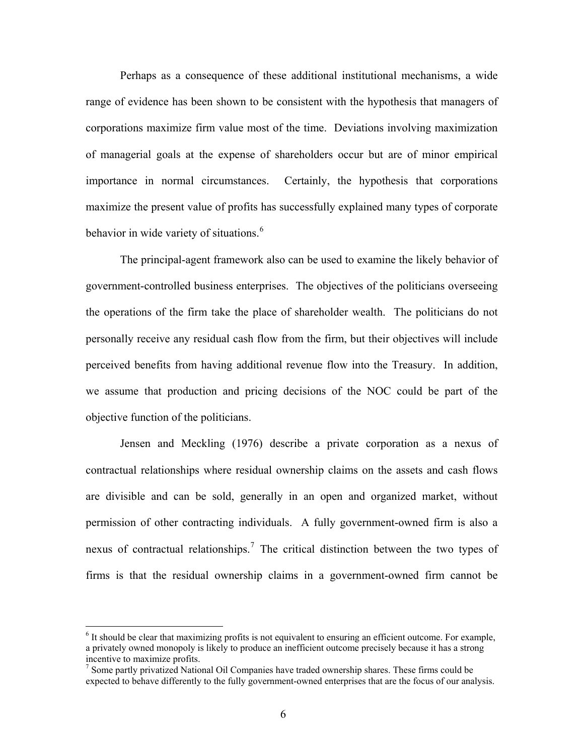Perhaps as a consequence of these additional institutional mechanisms, a wide range of evidence has been shown to be consistent with the hypothesis that managers of corporations maximize firm value most of the time. Deviations involving maximization of managerial goals at the expense of shareholders occur but are of minor empirical importance in normal circumstances. Certainly, the hypothesis that corporations maximize the present value of profits has successfully explained many types of corporate behavior in wide variety of situations.<sup>[6](#page-15-0)</sup>

The principal-agent framework also can be used to examine the likely behavior of government-controlled business enterprises. The objectives of the politicians overseeing the operations of the firm take the place of shareholder wealth. The politicians do not personally receive any residual cash flow from the firm, but their objectives will include perceived benefits from having additional revenue flow into the Treasury. In addition, we assume that production and pricing decisions of the NOC could be part of the objective function of the politicians.

Jensen and Meckling (1976) describe a private corporation as a nexus of contractual relationships where residual ownership claims on the assets and cash flows are divisible and can be sold, generally in an open and organized market, without permission of other contracting individuals. A fully government-owned firm is also a nexus of contractual relationships.<sup>[7](#page-15-1)</sup> The critical distinction between the two types of firms is that the residual ownership claims in a government-owned firm cannot be

<span id="page-15-0"></span><sup>&</sup>lt;sup>6</sup> It should be clear that maximizing profits is not equivalent to ensuring an efficient outcome. For example, a privately owned monopoly is likely to produce an inefficient outcome precisely because it has a strong incentive to maximize profits.

<span id="page-15-1"></span> $<sup>7</sup>$  Some partly privatized National Oil Companies have traded ownership shares. These firms could be</sup> expected to behave differently to the fully government-owned enterprises that are the focus of our analysis.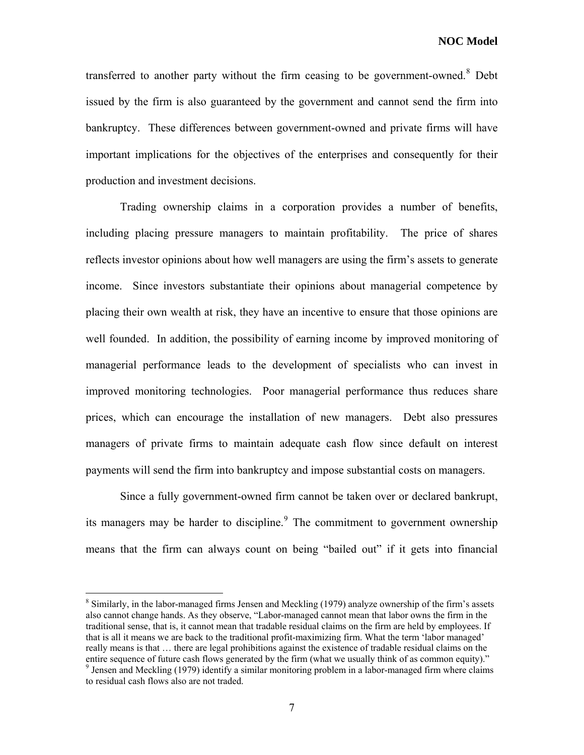transferred to another party without the firm ceasing to be government-owned. $8$  Debt issued by the firm is also guaranteed by the government and cannot send the firm into bankruptcy. These differences between government-owned and private firms will have important implications for the objectives of the enterprises and consequently for their production and investment decisions.

Trading ownership claims in a corporation provides a number of benefits, including placing pressure managers to maintain profitability. The price of shares reflects investor opinions about how well managers are using the firm's assets to generate income. Since investors substantiate their opinions about managerial competence by placing their own wealth at risk, they have an incentive to ensure that those opinions are well founded. In addition, the possibility of earning income by improved monitoring of managerial performance leads to the development of specialists who can invest in improved monitoring technologies. Poor managerial performance thus reduces share prices, which can encourage the installation of new managers. Debt also pressures managers of private firms to maintain adequate cash flow since default on interest payments will send the firm into bankruptcy and impose substantial costs on managers.

Since a fully government-owned firm cannot be taken over or declared bankrupt, its managers may be harder to discipline. $9$  The commitment to government ownership means that the firm can always count on being "bailed out" if it gets into financial

<span id="page-16-1"></span><span id="page-16-0"></span><sup>&</sup>lt;sup>8</sup> Similarly, in the labor-managed firms Jensen and Meckling (1979) analyze ownership of the firm's assets also cannot change hands. As they observe, "Labor-managed cannot mean that labor owns the firm in the traditional sense, that is, it cannot mean that tradable residual claims on the firm are held by employees. If that is all it means we are back to the traditional profit-maximizing firm. What the term 'labor managed' really means is that … there are legal prohibitions against the existence of tradable residual claims on the entire sequence of future cash flows generated by the firm (what we usually think of as common equity)." <sup>9</sup> Jensen and Meckling (1979) identify a similar monitoring problem in a labor-managed firm where claims to residual cash flows also are not traded.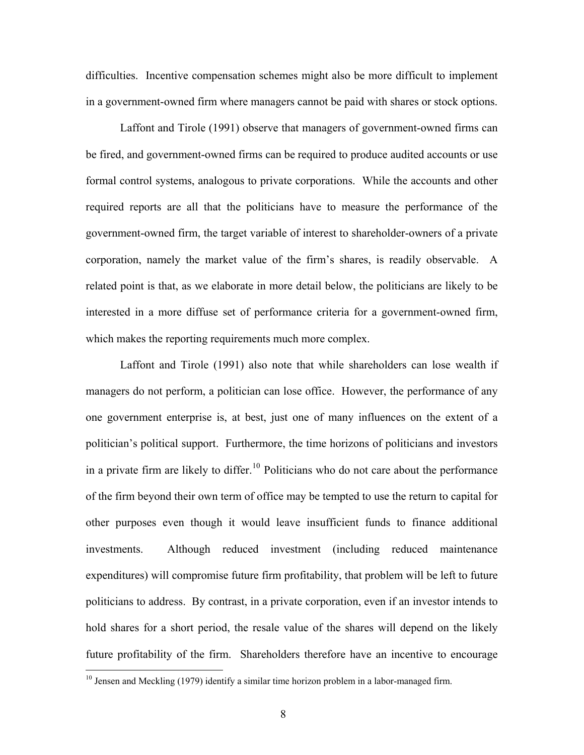difficulties. Incentive compensation schemes might also be more difficult to implement in a government-owned firm where managers cannot be paid with shares or stock options.

Laffont and Tirole (1991) observe that managers of government-owned firms can be fired, and government-owned firms can be required to produce audited accounts or use formal control systems, analogous to private corporations. While the accounts and other required reports are all that the politicians have to measure the performance of the government-owned firm, the target variable of interest to shareholder-owners of a private corporation, namely the market value of the firm's shares, is readily observable. A related point is that, as we elaborate in more detail below, the politicians are likely to be interested in a more diffuse set of performance criteria for a government-owned firm, which makes the reporting requirements much more complex.

Laffont and Tirole (1991) also note that while shareholders can lose wealth if managers do not perform, a politician can lose office. However, the performance of any one government enterprise is, at best, just one of many influences on the extent of a politician's political support. Furthermore, the time horizons of politicians and investors in a private firm are likely to differ.<sup>[10](#page-17-0)</sup> Politicians who do not care about the performance of the firm beyond their own term of office may be tempted to use the return to capital for other purposes even though it would leave insufficient funds to finance additional investments. Although reduced investment (including reduced maintenance expenditures) will compromise future firm profitability, that problem will be left to future politicians to address. By contrast, in a private corporation, even if an investor intends to hold shares for a short period, the resale value of the shares will depend on the likely future profitability of the firm. Shareholders therefore have an incentive to encourage

<span id="page-17-0"></span> $10$  Jensen and Meckling (1979) identify a similar time horizon problem in a labor-managed firm.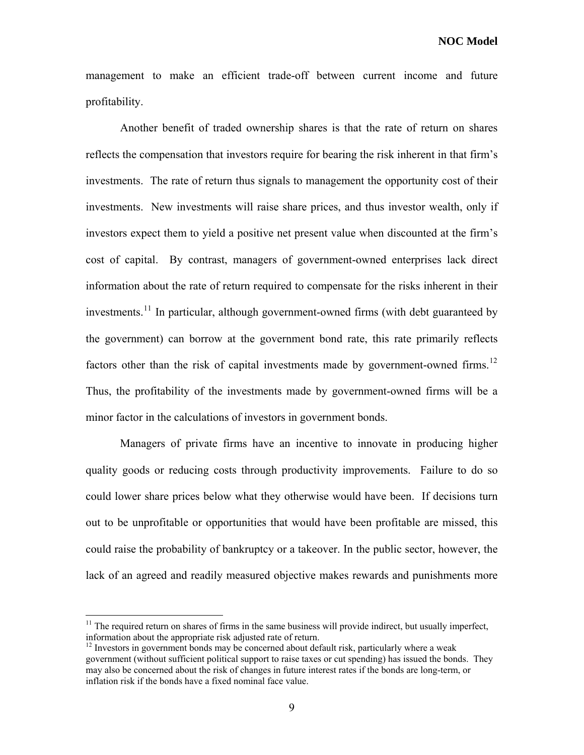management to make an efficient trade-off between current income and future profitability.

Another benefit of traded ownership shares is that the rate of return on shares reflects the compensation that investors require for bearing the risk inherent in that firm's investments. The rate of return thus signals to management the opportunity cost of their investments. New investments will raise share prices, and thus investor wealth, only if investors expect them to yield a positive net present value when discounted at the firm's cost of capital. By contrast, managers of government-owned enterprises lack direct information about the rate of return required to compensate for the risks inherent in their investments.<sup>[11](#page-18-0)</sup> In particular, although government-owned firms (with debt guaranteed by the government) can borrow at the government bond rate, this rate primarily reflects factors other than the risk of capital investments made by government-owned firms.<sup>[12](#page-18-1)</sup> Thus, the profitability of the investments made by government-owned firms will be a minor factor in the calculations of investors in government bonds.

Managers of private firms have an incentive to innovate in producing higher quality goods or reducing costs through productivity improvements. Failure to do so could lower share prices below what they otherwise would have been. If decisions turn out to be unprofitable or opportunities that would have been profitable are missed, this could raise the probability of bankruptcy or a takeover. In the public sector, however, the lack of an agreed and readily measured objective makes rewards and punishments more

1

<span id="page-18-0"></span> $11$  The required return on shares of firms in the same business will provide indirect, but usually imperfect, information about the appropriate risk adjusted rate of return.<br><sup>12</sup> Investors in government bonds may be concerned about default risk, particularly where a weak

<span id="page-18-1"></span>government (without sufficient political support to raise taxes or cut spending) has issued the bonds. They may also be concerned about the risk of changes in future interest rates if the bonds are long-term, or inflation risk if the bonds have a fixed nominal face value.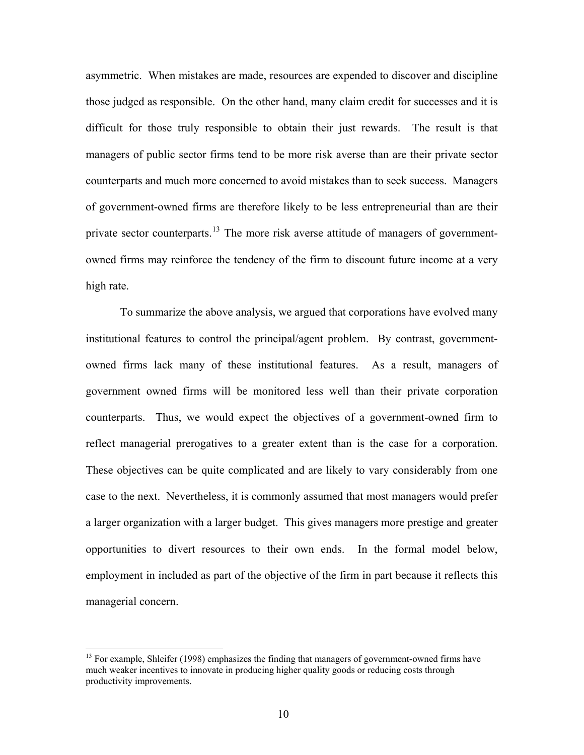asymmetric. When mistakes are made, resources are expended to discover and discipline those judged as responsible. On the other hand, many claim credit for successes and it is difficult for those truly responsible to obtain their just rewards. The result is that managers of public sector firms tend to be more risk averse than are their private sector counterparts and much more concerned to avoid mistakes than to seek success. Managers of government-owned firms are therefore likely to be less entrepreneurial than are their private sector counterparts.<sup>[13](#page-19-0)</sup> The more risk averse attitude of managers of governmentowned firms may reinforce the tendency of the firm to discount future income at a very high rate.

To summarize the above analysis, we argued that corporations have evolved many institutional features to control the principal/agent problem. By contrast, governmentowned firms lack many of these institutional features. As a result, managers of government owned firms will be monitored less well than their private corporation counterparts. Thus, we would expect the objectives of a government-owned firm to reflect managerial prerogatives to a greater extent than is the case for a corporation. These objectives can be quite complicated and are likely to vary considerably from one case to the next. Nevertheless, it is commonly assumed that most managers would prefer a larger organization with a larger budget. This gives managers more prestige and greater opportunities to divert resources to their own ends. In the formal model below, employment in included as part of the objective of the firm in part because it reflects this managerial concern.

<span id="page-19-0"></span><sup>&</sup>lt;sup>13</sup> For example, Shleifer (1998) emphasizes the finding that managers of government-owned firms have much weaker incentives to innovate in producing higher quality goods or reducing costs through productivity improvements.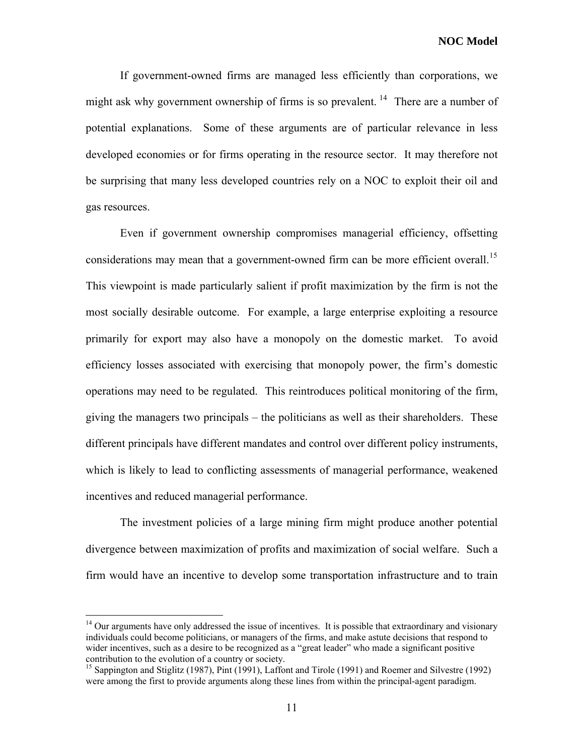If government-owned firms are managed less efficiently than corporations, we might ask why government ownership of firms is so prevalent.<sup>[14](#page-20-0)</sup> There are a number of potential explanations. Some of these arguments are of particular relevance in less developed economies or for firms operating in the resource sector. It may therefore not be surprising that many less developed countries rely on a NOC to exploit their oil and gas resources.

Even if government ownership compromises managerial efficiency, offsetting considerations may mean that a government-owned firm can be more efficient overall.<sup>[15](#page-20-1)</sup> This viewpoint is made particularly salient if profit maximization by the firm is not the most socially desirable outcome. For example, a large enterprise exploiting a resource primarily for export may also have a monopoly on the domestic market. To avoid efficiency losses associated with exercising that monopoly power, the firm's domestic operations may need to be regulated. This reintroduces political monitoring of the firm, giving the managers two principals – the politicians as well as their shareholders. These different principals have different mandates and control over different policy instruments, which is likely to lead to conflicting assessments of managerial performance, weakened incentives and reduced managerial performance.

The investment policies of a large mining firm might produce another potential divergence between maximization of profits and maximization of social welfare. Such a firm would have an incentive to develop some transportation infrastructure and to train

1

<span id="page-20-0"></span><sup>&</sup>lt;sup>14</sup> Our arguments have only addressed the issue of incentives. It is possible that extraordinary and visionary individuals could become politicians, or managers of the firms, and make astute decisions that respond to wider incentives, such as a desire to be recognized as a "great leader" who made a significant positive contribution to the evolution of a country or society.

<span id="page-20-1"></span><sup>&</sup>lt;sup>15</sup> Sappington and Stiglitz (1987), Pint (1991), Laffont and Tirole (1991) and Roemer and Silvestre (1992) were among the first to provide arguments along these lines from within the principal-agent paradigm.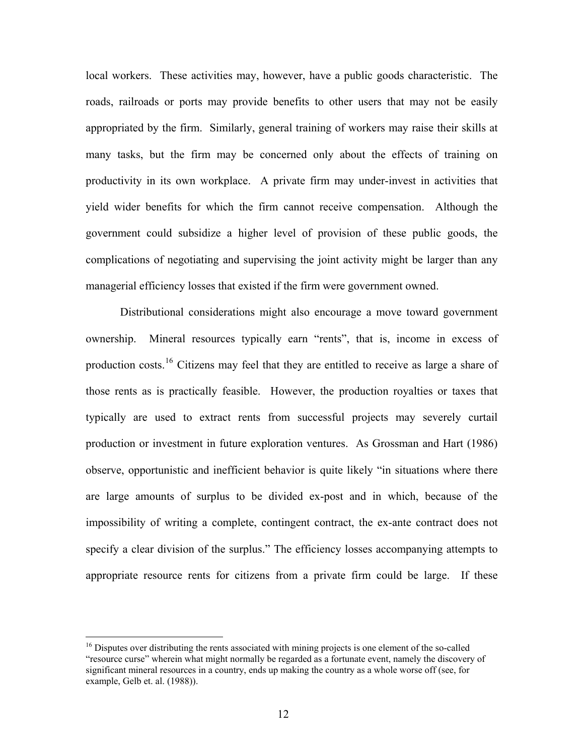local workers. These activities may, however, have a public goods characteristic. The roads, railroads or ports may provide benefits to other users that may not be easily appropriated by the firm. Similarly, general training of workers may raise their skills at many tasks, but the firm may be concerned only about the effects of training on productivity in its own workplace. A private firm may under-invest in activities that yield wider benefits for which the firm cannot receive compensation. Although the government could subsidize a higher level of provision of these public goods, the complications of negotiating and supervising the joint activity might be larger than any managerial efficiency losses that existed if the firm were government owned.

Distributional considerations might also encourage a move toward government ownership. Mineral resources typically earn "rents", that is, income in excess of production costs.<sup>[16](#page-21-0)</sup> Citizens may feel that they are entitled to receive as large a share of those rents as is practically feasible. However, the production royalties or taxes that typically are used to extract rents from successful projects may severely curtail production or investment in future exploration ventures. As Grossman and Hart (1986) observe, opportunistic and inefficient behavior is quite likely "in situations where there are large amounts of surplus to be divided ex-post and in which, because of the impossibility of writing a complete, contingent contract, the ex-ante contract does not specify a clear division of the surplus." The efficiency losses accompanying attempts to appropriate resource rents for citizens from a private firm could be large. If these

<span id="page-21-0"></span> $16$  Disputes over distributing the rents associated with mining projects is one element of the so-called "resource curse" wherein what might normally be regarded as a fortunate event, namely the discovery of significant mineral resources in a country, ends up making the country as a whole worse off (see, for example, Gelb et. al. (1988)).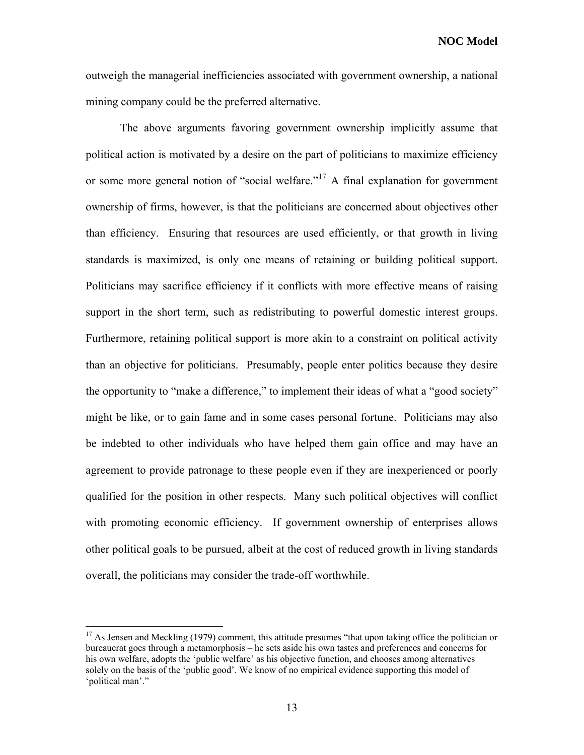**NOC Model** 

outweigh the managerial inefficiencies associated with government ownership, a national mining company could be the preferred alternative.

The above arguments favoring government ownership implicitly assume that political action is motivated by a desire on the part of politicians to maximize efficiency or some more general notion of "social welfare."[17](#page-22-0) A final explanation for government ownership of firms, however, is that the politicians are concerned about objectives other than efficiency. Ensuring that resources are used efficiently, or that growth in living standards is maximized, is only one means of retaining or building political support. Politicians may sacrifice efficiency if it conflicts with more effective means of raising support in the short term, such as redistributing to powerful domestic interest groups. Furthermore, retaining political support is more akin to a constraint on political activity than an objective for politicians. Presumably, people enter politics because they desire the opportunity to "make a difference," to implement their ideas of what a "good society" might be like, or to gain fame and in some cases personal fortune. Politicians may also be indebted to other individuals who have helped them gain office and may have an agreement to provide patronage to these people even if they are inexperienced or poorly qualified for the position in other respects. Many such political objectives will conflict with promoting economic efficiency. If government ownership of enterprises allows other political goals to be pursued, albeit at the cost of reduced growth in living standards overall, the politicians may consider the trade-off worthwhile.

<span id="page-22-0"></span> $17$  As Jensen and Meckling (1979) comment, this attitude presumes "that upon taking office the politician or bureaucrat goes through a metamorphosis – he sets aside his own tastes and preferences and concerns for his own welfare, adopts the 'public welfare' as his objective function, and chooses among alternatives solely on the basis of the 'public good'. We know of no empirical evidence supporting this model of 'political man'."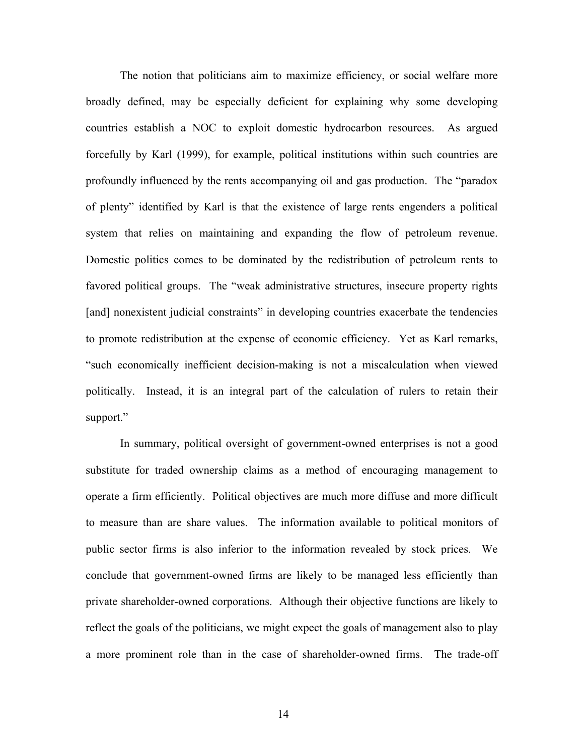The notion that politicians aim to maximize efficiency, or social welfare more broadly defined, may be especially deficient for explaining why some developing countries establish a NOC to exploit domestic hydrocarbon resources. As argued forcefully by Karl (1999), for example, political institutions within such countries are profoundly influenced by the rents accompanying oil and gas production. The "paradox of plenty" identified by Karl is that the existence of large rents engenders a political system that relies on maintaining and expanding the flow of petroleum revenue. Domestic politics comes to be dominated by the redistribution of petroleum rents to favored political groups. The "weak administrative structures, insecure property rights [and] nonexistent judicial constraints" in developing countries exacerbate the tendencies to promote redistribution at the expense of economic efficiency. Yet as Karl remarks, "such economically inefficient decision-making is not a miscalculation when viewed politically. Instead, it is an integral part of the calculation of rulers to retain their support."

In summary, political oversight of government-owned enterprises is not a good substitute for traded ownership claims as a method of encouraging management to operate a firm efficiently. Political objectives are much more diffuse and more difficult to measure than are share values. The information available to political monitors of public sector firms is also inferior to the information revealed by stock prices. We conclude that government-owned firms are likely to be managed less efficiently than private shareholder-owned corporations. Although their objective functions are likely to reflect the goals of the politicians, we might expect the goals of management also to play a more prominent role than in the case of shareholder-owned firms. The trade-off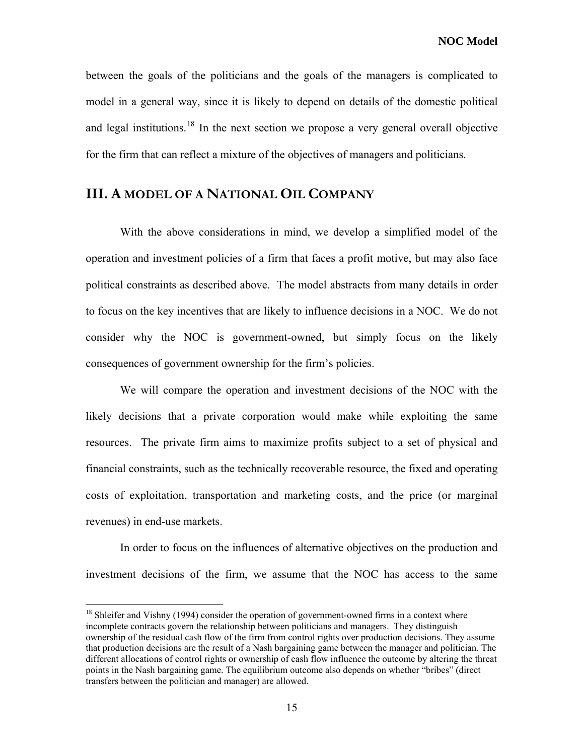**NOC Model** 

between the goals of the politicians and the goals of the managers is complicated to model in a general way, since it is likely to depend on details of the domestic political and legal institutions.<sup>[18](#page-24-0)</sup> In the next section we propose a very general overall objective for the firm that can reflect a mixture of the objectives of managers and politicians.

#### **III. A MODEL OF A NATIONAL OIL COMPANY**

With the above considerations in mind, we develop a simplified model of the operation and investment policies of a firm that faces a profit motive, but may also face political constraints as described above. The model abstracts from many details in order to focus on the key incentives that are likely to influence decisions in a NOC. We do not consider why the NOC is government-owned, but simply focus on the likely consequences of government ownership for the firm's policies.

We will compare the operation and investment decisions of the NOC with the likely decisions that a private corporation would make while exploiting the same resources. The private firm aims to maximize profits subject to a set of physical and financial constraints, such as the technically recoverable resource, the fixed and operating costs of exploitation, transportation and marketing costs, and the price (or marginal revenues) in end-use markets.

In order to focus on the influences of alternative objectives on the production and investment decisions of the firm, we assume that the NOC has access to the same

<span id="page-24-0"></span> $18$  Shleifer and Vishny (1994) consider the operation of government-owned firms in a context where incomplete contracts govern the relationship between politicians and managers. They distinguish ownership of the residual cash flow of the firm from control rights over production decisions. They assume that production decisions are the result of a Nash bargaining game between the manager and politician. The different allocations of control rights or ownership of cash flow influence the outcome by altering the threat points in the Nash bargaining game. The equilibrium outcome also depends on whether "bribes" (direct transfers between the politician and manager) are allowed.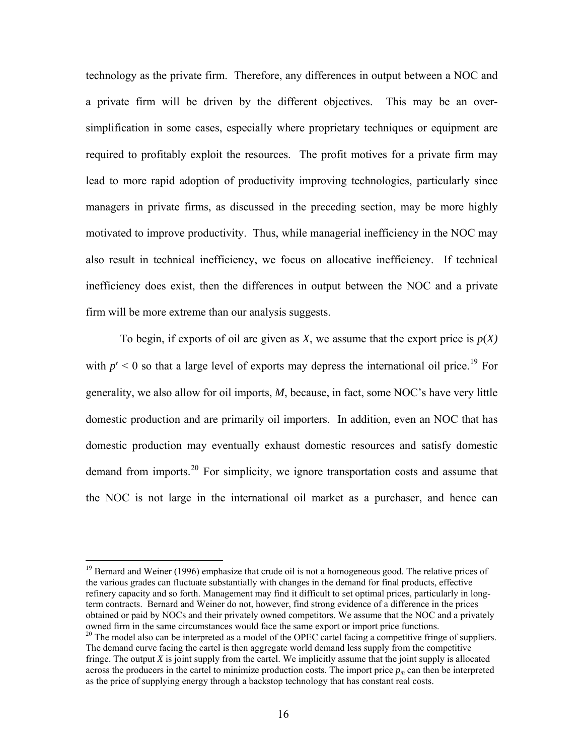technology as the private firm. Therefore, any differences in output between a NOC and a private firm will be driven by the different objectives. This may be an oversimplification in some cases, especially where proprietary techniques or equipment are required to profitably exploit the resources. The profit motives for a private firm may lead to more rapid adoption of productivity improving technologies, particularly since managers in private firms, as discussed in the preceding section, may be more highly motivated to improve productivity. Thus, while managerial inefficiency in the NOC may also result in technical inefficiency, we focus on allocative inefficiency. If technical inefficiency does exist, then the differences in output between the NOC and a private firm will be more extreme than our analysis suggests.

To begin, if exports of oil are given as *X*, we assume that the export price is  $p(X)$ with  $p' < 0$  so that a large level of exports may depress the international oil price.<sup>[19](#page-25-0)</sup> For generality, we also allow for oil imports, *M*, because, in fact, some NOC's have very little domestic production and are primarily oil importers. In addition, even an NOC that has domestic production may eventually exhaust domestic resources and satisfy domestic demand from imports.<sup>[20](#page-25-1)</sup> For simplicity, we ignore transportation costs and assume that the NOC is not large in the international oil market as a purchaser, and hence can

<span id="page-25-0"></span><sup>19</sup> Bernard and Weiner (1996) emphasize that crude oil is not a homogeneous good. The relative prices of the various grades can fluctuate substantially with changes in the demand for final products, effective refinery capacity and so forth. Management may find it difficult to set optimal prices, particularly in longterm contracts. Bernard and Weiner do not, however, find strong evidence of a difference in the prices obtained or paid by NOCs and their privately owned competitors. We assume that the NOC and a privately owned firm in the same circumstances would face the same export or import price functions.

<span id="page-25-1"></span> $20$  The model also can be interpreted as a model of the OPEC cartel facing a competitive fringe of suppliers. The demand curve facing the cartel is then aggregate world demand less supply from the competitive fringe. The output *X* is joint supply from the cartel. We implicitly assume that the joint supply is allocated across the producers in the cartel to minimize production costs. The import price  $p<sub>m</sub>$  can then be interpreted as the price of supplying energy through a backstop technology that has constant real costs.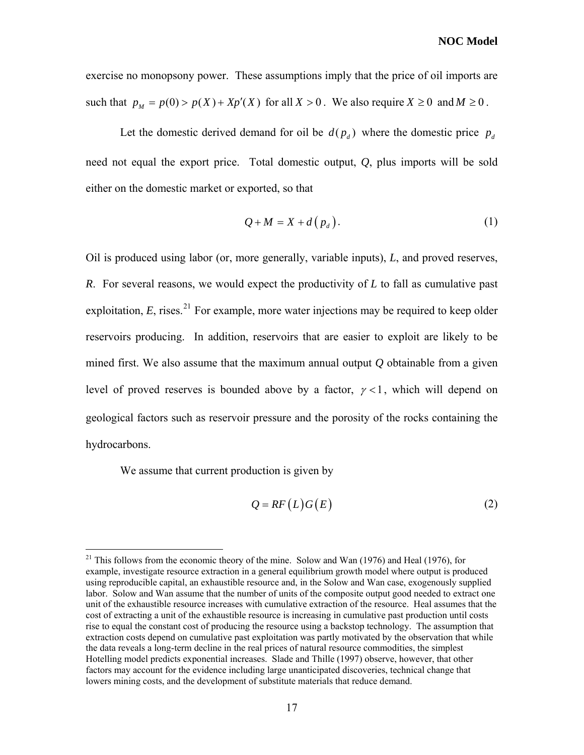exercise no monopsony power. These assumptions imply that the price of oil imports are such that  $p_M = p(0) > p(X) + Xp'(X)$  for all  $X > 0$ . We also require  $X \ge 0$  and  $M \ge 0$ .

Let the domestic derived demand for oil be  $d(p_d)$  where the domestic price  $p_d$ need not equal the export price. Total domestic output, *Q*, plus imports will be sold either on the domestic market or exported, so that

$$
Q + M = X + d(p_d). \tag{1}
$$

<span id="page-26-2"></span>Oil is produced using labor (or, more generally, variable inputs), *L*, and proved reserves, *R*. For several reasons, we would expect the productivity of *L* to fall as cumulative past exploitation,  $E$ , rises.<sup>[21](#page-26-0)</sup> For example, more water injections may be required to keep older reservoirs producing. In addition, reservoirs that are easier to exploit are likely to be mined first. We also assume that the maximum annual output *Q* obtainable from a given level of proved reserves is bounded above by a factor,  $\gamma < 1$ , which will depend on geological factors such as reservoir pressure and the porosity of the rocks containing the hydrocarbons.

We assume that current production is given by

$$
Q = RF(L)G(E) \tag{2}
$$

<span id="page-26-1"></span><span id="page-26-0"></span> $21$  This follows from the economic theory of the mine. Solow and Wan (1976) and Heal (1976), for example, investigate resource extraction in a general equilibrium growth model where output is produced using reproducible capital, an exhaustible resource and, in the Solow and Wan case, exogenously supplied labor. Solow and Wan assume that the number of units of the composite output good needed to extract one unit of the exhaustible resource increases with cumulative extraction of the resource. Heal assumes that the cost of extracting a unit of the exhaustible resource is increasing in cumulative past production until costs rise to equal the constant cost of producing the resource using a backstop technology. The assumption that extraction costs depend on cumulative past exploitation was partly motivated by the observation that while the data reveals a long-term decline in the real prices of natural resource commodities, the simplest Hotelling model predicts exponential increases. Slade and Thille (1997) observe, however, that other factors may account for the evidence including large unanticipated discoveries, technical change that lowers mining costs, and the development of substitute materials that reduce demand.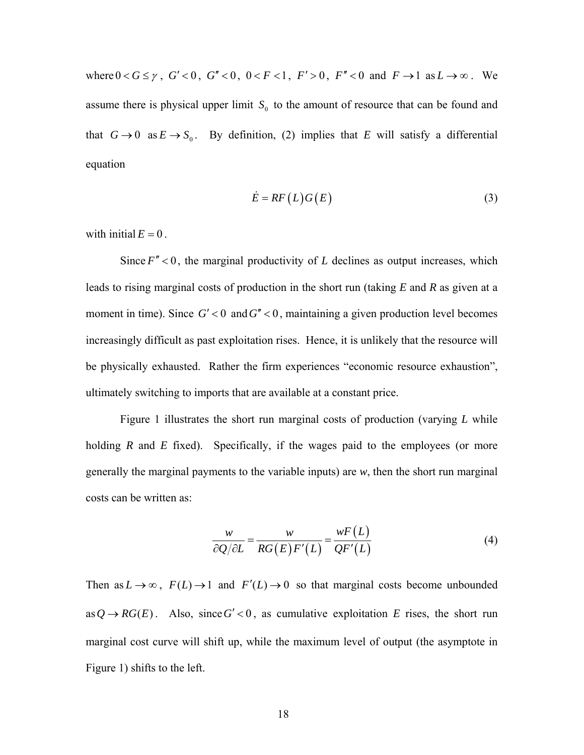where  $0 < G \le \gamma$ ,  $G' < 0$ ,  $G'' < 0$ ,  $0 < F < 1$ ,  $F' > 0$ ,  $F'' < 0$  and  $F \to 1$  as  $L \to \infty$ . We assume there is physical upper limit  $S_0$  to the amount of resource that can be found and that  $G \to 0$  as  $E \to S_0$ . By definition, [\(2\)](#page-26-1) implies that *E* will satisfy a differential equation

$$
\dot{E} = RF(L)G(E) \tag{3}
$$

<span id="page-27-0"></span>with initial  $E = 0$ .

Since  $F'' < 0$ , the marginal productivity of *L* declines as output increases, which leads to rising marginal costs of production in the short run (taking *E* and *R* as given at a moment in time). Since  $G' < 0$  and  $G'' < 0$ , maintaining a given production level becomes increasingly difficult as past exploitation rises. Hence, it is unlikely that the resource will be physically exhausted. Rather the firm experiences "economic resource exhaustion", ultimately switching to imports that are available at a constant price.

Figure 1 illustrates the short run marginal costs of production (varying *L* while holding *R* and *E* fixed). Specifically, if the wages paid to the employees (or more generally the marginal payments to the variable inputs) are *w*, then the short run marginal costs can be written as:

$$
\frac{w}{\partial Q/\partial L} = \frac{w}{RG(E)F'(L)} = \frac{wF(L)}{QF'(L)}
$$
(4)

Then as  $L \to \infty$ ,  $F(L) \to 1$  and  $F'(L) \to 0$  so that marginal costs become unbounded as  $Q \rightarrow RG(E)$ . Also, since  $G' < 0$ , as cumulative exploitation *E* rises, the short run marginal cost curve will shift up, while the maximum level of output (the asymptote in Figure 1) shifts to the left.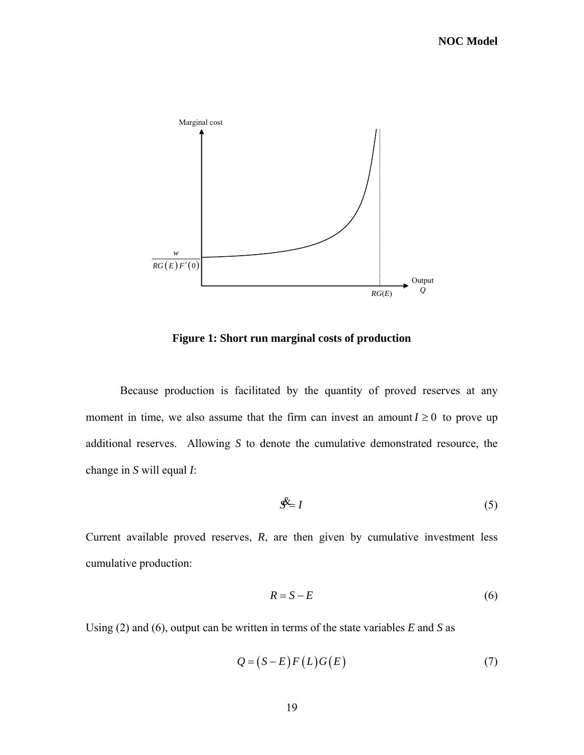

**Figure 1: Short run marginal costs of production** 

Because production is facilitated by the quantity of proved reserves at any moment in time, we also assume that the firm can invest an amount  $I \geq 0$  to prove up additional reserves. Allowing *S* to denote the cumulative demonstrated resource, the change in *S* will equal *I*:

$$
\mathcal{S}^{\underline{k}} = I \tag{5}
$$

<span id="page-28-1"></span>Current available proved reserves, *R*, are then given by cumulative investment less cumulative production:

$$
R = S - E \tag{6}
$$

<span id="page-28-0"></span>Using [\(2\)](#page-26-1) and [\(6\),](#page-28-0) output can be written in terms of the state variables *E* and *S* as

$$
Q = (S - E)F(L)G(E) \tag{7}
$$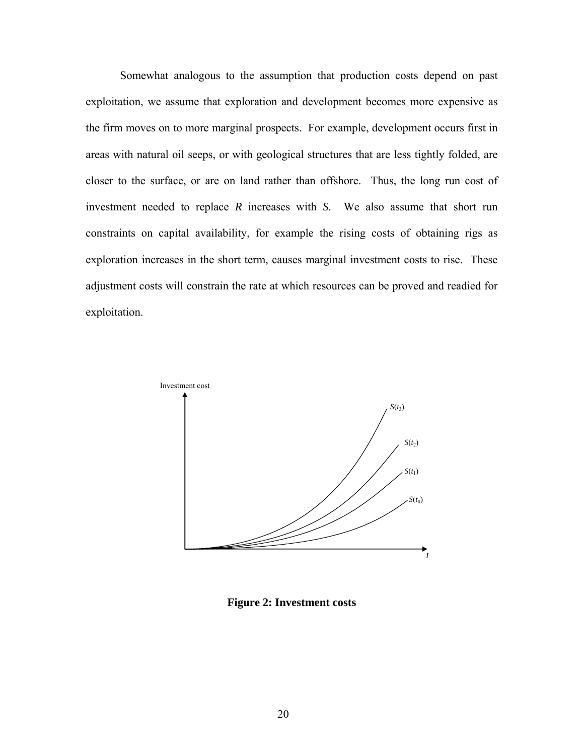Somewhat analogous to the assumption that production costs depend on past exploitation, we assume that exploration and development becomes more expensive as the firm moves on to more marginal prospects. For example, development occurs first in areas with natural oil seeps, or with geological structures that are less tightly folded, are closer to the surface, or are on land rather than offshore. Thus, the long run cost of investment needed to replace *R* increases with *S*. We also assume that short run constraints on capital availability, for example the rising costs of obtaining rigs as exploration increases in the short term, causes marginal investment costs to rise. These adjustment costs will constrain the rate at which resources can be proved and readied for exploitation.



**Figure 2: Investment costs**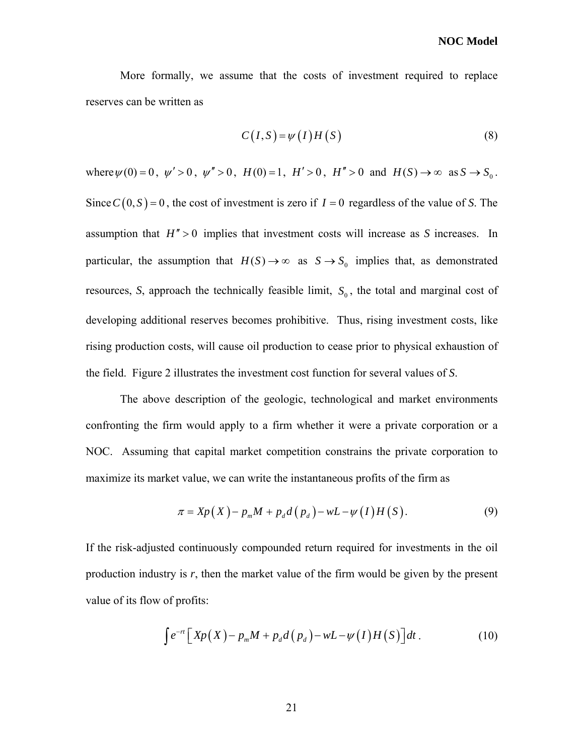More formally, we assume that the costs of investment required to replace reserves can be written as

$$
C(I, S) = \psi(I)H(S)
$$
\n(8)

where  $\psi(0) = 0$ ,  $\psi' > 0$ ,  $\psi'' > 0$ ,  $H(0) = 1$ ,  $H' > 0$ ,  $H'' > 0$  and  $H(S) \to \infty$  as  $S \to S_0$ . Since  $C(0, S) = 0$ , the cost of investment is zero if  $I = 0$  regardless of the value of *S*. The assumption that  $H'' > 0$  implies that investment costs will increase as *S* increases. In particular, the assumption that  $H(S) \to \infty$  as  $S \to S_0$  implies that, as demonstrated resources, S, approach the technically feasible limit,  $S_0$ , the total and marginal cost of developing additional reserves becomes prohibitive. Thus, rising investment costs, like rising production costs, will cause oil production to cease prior to physical exhaustion of the field. Figure 2 illustrates the investment cost function for several values of *S*.

The above description of the geologic, technological and market environments confronting the firm would apply to a firm whether it were a private corporation or a NOC. Assuming that capital market competition constrains the private corporation to maximize its market value, we can write the instantaneous profits of the firm as

$$
\pi = Xp(X) - p_m M + p_d d(p_d) - wL - \psi(I)H(S). \tag{9}
$$

<span id="page-30-0"></span>If the risk-adjusted continuously compounded return required for investments in the oil production industry is *r*, then the market value of the firm would be given by the present value of its flow of profits:

$$
\int e^{-rt} \left[ X p(X) - p_m M + p_d d(p_d) - w L - \psi(I) H(S) \right] dt \,. \tag{10}
$$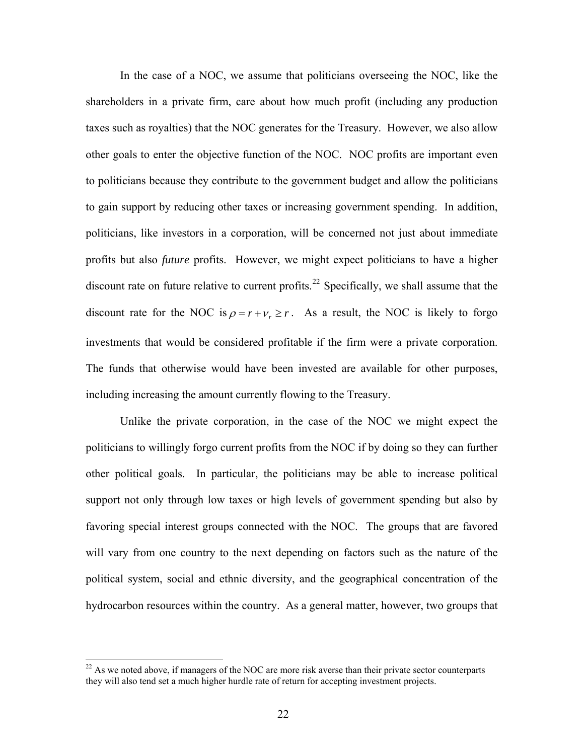In the case of a NOC, we assume that politicians overseeing the NOC, like the shareholders in a private firm, care about how much profit (including any production taxes such as royalties) that the NOC generates for the Treasury. However, we also allow other goals to enter the objective function of the NOC. NOC profits are important even to politicians because they contribute to the government budget and allow the politicians to gain support by reducing other taxes or increasing government spending. In addition, politicians, like investors in a corporation, will be concerned not just about immediate profits but also *future* profits. However, we might expect politicians to have a higher discount rate on future relative to current profits.<sup>[22](#page-31-0)</sup> Specifically, we shall assume that the discount rate for the NOC is  $\rho = r + v_r \ge r$ . As a result, the NOC is likely to forgo investments that would be considered profitable if the firm were a private corporation. The funds that otherwise would have been invested are available for other purposes, including increasing the amount currently flowing to the Treasury.

Unlike the private corporation, in the case of the NOC we might expect the politicians to willingly forgo current profits from the NOC if by doing so they can further other political goals. In particular, the politicians may be able to increase political support not only through low taxes or high levels of government spending but also by favoring special interest groups connected with the NOC. The groups that are favored will vary from one country to the next depending on factors such as the nature of the political system, social and ethnic diversity, and the geographical concentration of the hydrocarbon resources within the country. As a general matter, however, two groups that

<span id="page-31-0"></span> $^{22}$  As we noted above, if managers of the NOC are more risk averse than their private sector counterparts they will also tend set a much higher hurdle rate of return for accepting investment projects.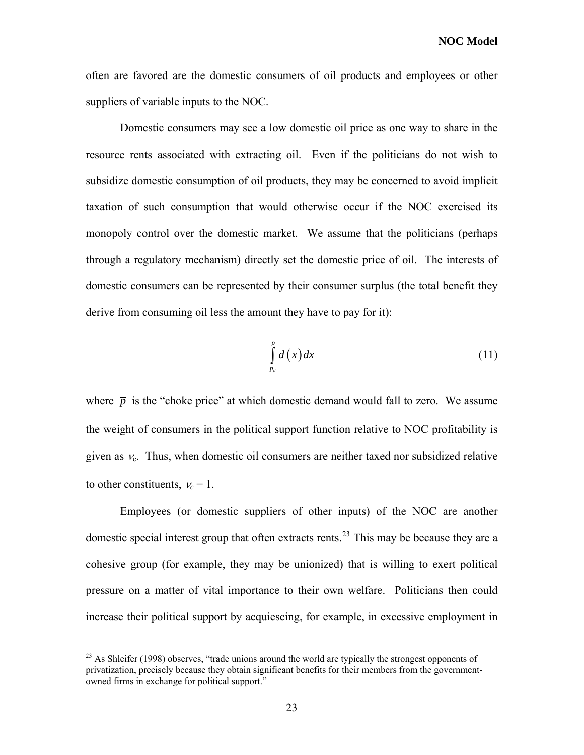**NOC Model** 

often are favored are the domestic consumers of oil products and employees or other suppliers of variable inputs to the NOC.

Domestic consumers may see a low domestic oil price as one way to share in the resource rents associated with extracting oil. Even if the politicians do not wish to subsidize domestic consumption of oil products, they may be concerned to avoid implicit taxation of such consumption that would otherwise occur if the NOC exercised its monopoly control over the domestic market. We assume that the politicians (perhaps through a regulatory mechanism) directly set the domestic price of oil. The interests of domestic consumers can be represented by their consumer surplus (the total benefit they derive from consuming oil less the amount they have to pay for it):

$$
\int_{p_d}^{\overline{p}} d(x) dx \tag{11}
$$

<span id="page-32-1"></span>where  $\bar{p}$  is the "choke price" at which domestic demand would fall to zero. We assume the weight of consumers in the political support function relative to NOC profitability is given as  $v_c$ . Thus, when domestic oil consumers are neither taxed nor subsidized relative to other constituents,  $v_c = 1$ .

Employees (or domestic suppliers of other inputs) of the NOC are another domestic special interest group that often extracts rents.<sup>[23](#page-32-0)</sup> This may be because they are a cohesive group (for example, they may be unionized) that is willing to exert political pressure on a matter of vital importance to their own welfare. Politicians then could increase their political support by acquiescing, for example, in excessive employment in

1

<span id="page-32-0"></span><sup>&</sup>lt;sup>23</sup> As Shleifer (1998) observes, "trade unions around the world are typically the strongest opponents of privatization, precisely because they obtain significant benefits for their members from the governmentowned firms in exchange for political support."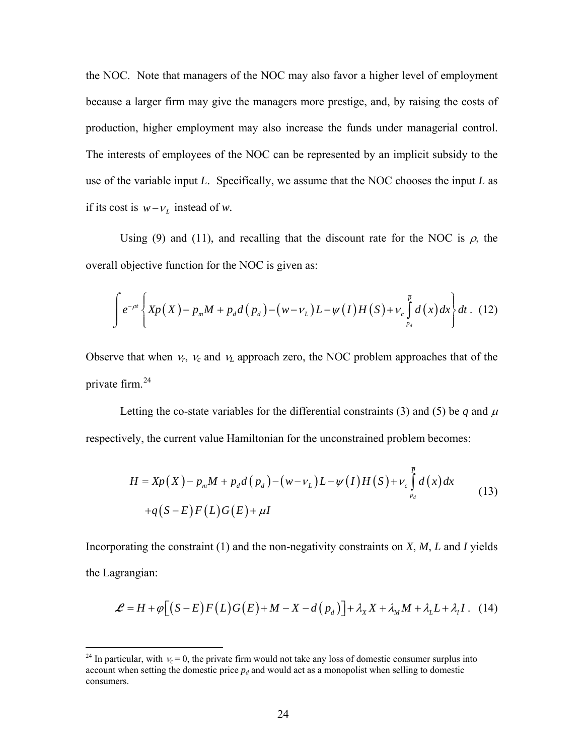the NOC. Note that managers of the NOC may also favor a higher level of employment because a larger firm may give the managers more prestige, and, by raising the costs of production, higher employment may also increase the funds under managerial control. The interests of employees of the NOC can be represented by an implicit subsidy to the use of the variable input *L*. Specifically, we assume that the NOC chooses the input *L* as if its cost is  $w - v_L$  instead of *w*.

Using [\(9\)](#page-30-0) and [\(11\)](#page-32-1), and recalling that the discount rate for the NOC is  $\rho$ , the overall objective function for the NOC is given as:

$$
\int e^{-\rho t} \left\{ X p\left(X\right) - p_m M + p_d d\left(p_d\right) - \left(w - v_L\right) L - \psi\left(I\right) H\left(S\right) + v_c \int_{p_d}^{\bar{p}} d\left(x\right) dx \right\} dt \quad (12)
$$

Observe that when  $v_r$ ,  $v_c$  and  $v_L$  approach zero, the NOC problem approaches that of the private firm.[24](#page-33-0)

Letting the co-state variables for the differential constraints [\(3\)](#page-27-0) and [\(5\)](#page-28-1) be *q* and  $\mu$ respectively, the current value Hamiltonian for the unconstrained problem becomes:

$$
H = Xp(X) - pmM + pdd(pd) - (w - vL)L - \psi(I)H(S) + vc \int_{p_d}^{\overline{p}} d(x) dx
$$
  
+q(S - E)F(L)G(E) + \mu I (3)

Incorporating the constraint [\(1\)](#page-26-2) and the non-negativity constraints on *X*, *M*, *L* and *I* yields the Lagrangian:

$$
\mathcal{L} = H + \varphi \big[ \big( S - E \big) F \big( L \big) G \big( E \big) + M - X - d \big( p_d \big) \big] + \lambda_X X + \lambda_M M + \lambda_L L + \lambda_I I \,. \tag{14}
$$

<span id="page-33-1"></span>1

<span id="page-33-0"></span><sup>&</sup>lt;sup>24</sup> In particular, with  $v_c = 0$ , the private firm would not take any loss of domestic consumer surplus into account when setting the domestic price  $p_d$  and would act as a monopolist when selling to domestic consumers.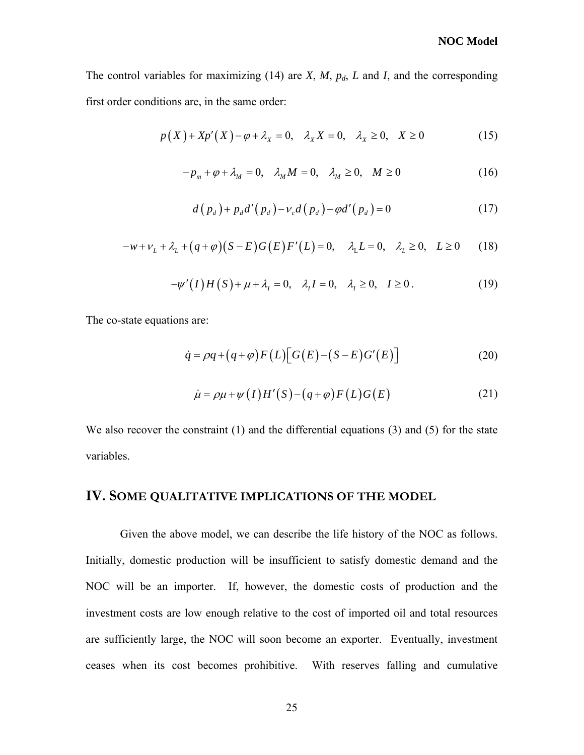#### **NOC Model**

<span id="page-34-1"></span><span id="page-34-0"></span>The control variables for maximizing [\(14\)](#page-33-1) are  $X$ ,  $M$ ,  $p_d$ ,  $L$  and  $I$ , and the corresponding first order conditions are, in the same order:

$$
p(X) + Xp'(X) - \varphi + \lambda_X = 0, \quad \lambda_X X = 0, \quad \lambda_X \ge 0, \quad X \ge 0
$$
 (15)

$$
-p_m + \varphi + \lambda_M = 0, \quad \lambda_M M = 0, \quad \lambda_M \ge 0, \quad M \ge 0
$$
 (16)

$$
d(p_d) + p_d d'(p_d) - v_c d(p_d) - \varphi d'(p_d) = 0 \tag{17}
$$

<span id="page-34-4"></span>
$$
-w + \nu_L + \lambda_L + (q + \varphi)(S - E)G(E)F'(L) = 0, \quad \lambda_L L = 0, \quad \lambda_L \ge 0, \quad L \ge 0 \tag{18}
$$

$$
-\psi'(I)H(S) + \mu + \lambda_1 = 0, \quad \lambda_1 I = 0, \quad \lambda_1 \ge 0, \quad I \ge 0.
$$
 (19)

<span id="page-34-5"></span><span id="page-34-3"></span><span id="page-34-2"></span>The co-state equations are:

$$
\dot{q} = \rho q + (q + \varphi) F(L) \big[ G(E) - (S - E) G'(E) \big] \tag{20}
$$

$$
\dot{\mu} = \rho \mu + \psi(I)H'(S) - (q + \varphi)F(L)G(E) \tag{21}
$$

<span id="page-34-6"></span>We also recover the constraint [\(1\)](#page-26-2) and the differential equations [\(3\)](#page-27-0) and [\(5\)](#page-28-1) for the state variables.

#### **IV. SOME QUALITATIVE IMPLICATIONS OF THE MODEL**

Given the above model, we can describe the life history of the NOC as follows. Initially, domestic production will be insufficient to satisfy domestic demand and the NOC will be an importer. If, however, the domestic costs of production and the investment costs are low enough relative to the cost of imported oil and total resources are sufficiently large, the NOC will soon become an exporter. Eventually, investment ceases when its cost becomes prohibitive. With reserves falling and cumulative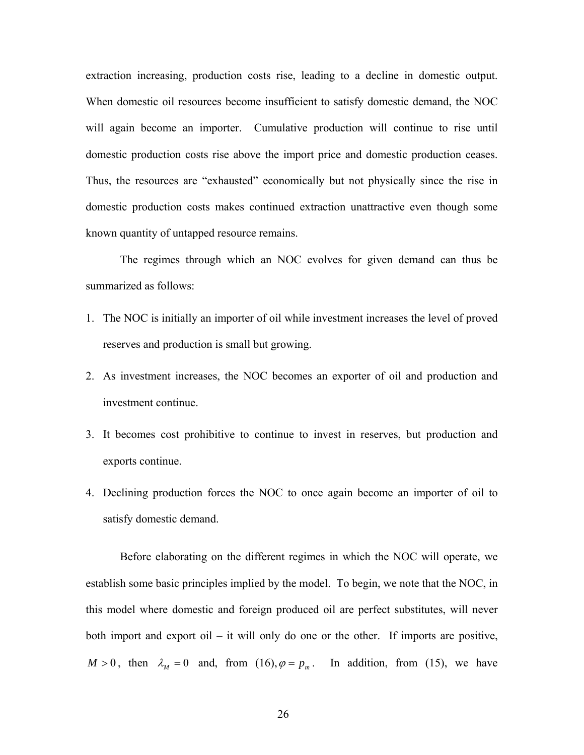extraction increasing, production costs rise, leading to a decline in domestic output. When domestic oil resources become insufficient to satisfy domestic demand, the NOC will again become an importer. Cumulative production will continue to rise until domestic production costs rise above the import price and domestic production ceases. Thus, the resources are "exhausted" economically but not physically since the rise in domestic production costs makes continued extraction unattractive even though some known quantity of untapped resource remains.

The regimes through which an NOC evolves for given demand can thus be summarized as follows:

- 1. The NOC is initially an importer of oil while investment increases the level of proved reserves and production is small but growing.
- 2. As investment increases, the NOC becomes an exporter of oil and production and investment continue.
- 3. It becomes cost prohibitive to continue to invest in reserves, but production and exports continue.
- 4. Declining production forces the NOC to once again become an importer of oil to satisfy domestic demand.

Before elaborating on the different regimes in which the NOC will operate, we establish some basic principles implied by the model. To begin, we note that the NOC, in this model where domestic and foreign produced oil are perfect substitutes, will never both import and export oil – it will only do one or the other. If imports are positive,  $M > 0$ , then  $\lambda_M = 0$  and, from [\(16\),](#page-34-0)  $\varphi = p_m$ . In addition, from [\(15\)](#page-34-1), we have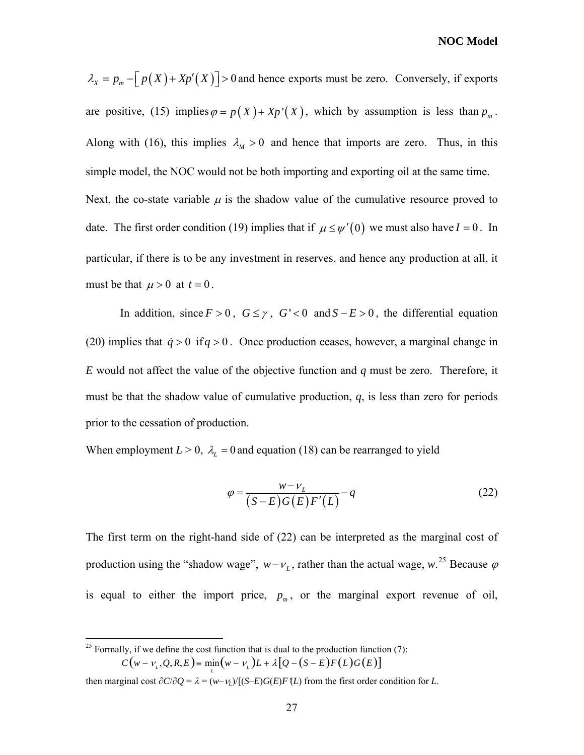**NOC Model** 

 $\lambda_X = p_m - \left[ p(X) + Xp'(X) \right] > 0$  and hence exports must be zero. Conversely, if exports are positive, [\(15\)](#page-34-1) implies  $\varphi = p(X) + Xp'(X)$ , which by assumption is less than  $p_m$ . Along with [\(16\),](#page-34-0) this implies  $\lambda_M > 0$  and hence that imports are zero. Thus, in this simple model, the NOC would not be both importing and exporting oil at the same time. Next, the co-state variable  $\mu$  is the shadow value of the cumulative resource proved to date. The first order condition [\(19\)](#page-34-2) implies that if  $\mu \le \psi'(0)$  we must also have  $I = 0$ . In particular, if there is to be any investment in reserves, and hence any production at all, it must be that  $\mu > 0$  at  $t = 0$ .

In addition, since  $F > 0$ ,  $G \le \gamma$ ,  $G' < 0$  and  $S - E > 0$ , the differential equation [\(20\)](#page-34-3) implies that  $\dot{q} > 0$  if  $q > 0$ . Once production ceases, however, a marginal change in *E* would not affect the value of the objective function and *q* must be zero. Therefore, it must be that the shadow value of cumulative production, *q*, is less than zero for periods prior to the cessation of production.

<span id="page-36-1"></span>When employment  $L > 0$ ,  $\lambda_L = 0$  and equation (18) can be rearranged to yield

$$
\varphi = \frac{w - v_L}{(S - E)G(E)F'(L)} - q
$$
\n(22)

The first term on the right-hand side of [\(22\)](#page-36-1) can be interpreted as the marginal cost of production using the "shadow wage",  $w - v_L$ , rather than the actual wage,  $w$ <sup>[25](#page-36-0)</sup>. Because  $\varphi$ is equal to either the import price,  $p_m$ , or the marginal export revenue of oil,

1

<span id="page-36-0"></span><sup>&</sup>lt;sup>25</sup> Formally, if we define the cost function that is dual to the production function  $(7)$ :  $C(w - v_L, Q, R, E) = \min_{L} (w - v_L) L + \lambda [Q - (S - E) F(L) G(E)]$ 

then marginal cost  $\partial C/\partial Q = \lambda = (w - v_L)/[(S - E)G(E)F(L)$  from the first order condition for *L*.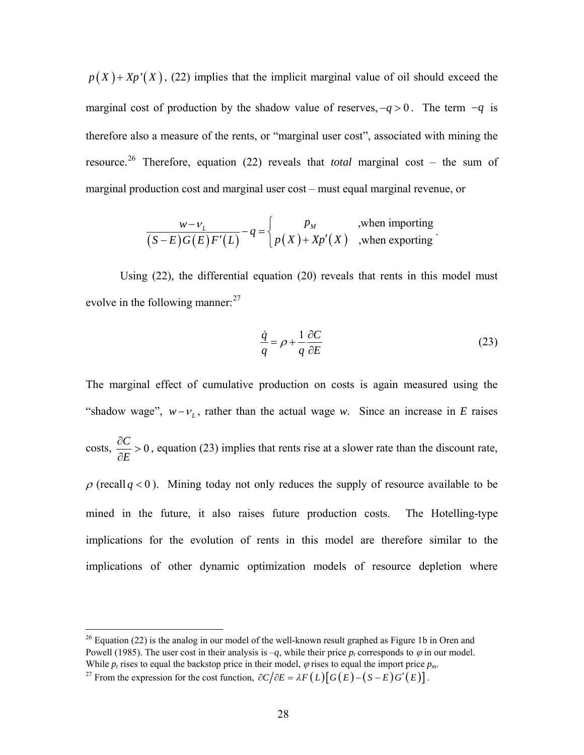$p(X) + Xp'(X)$ , [\(22\)](#page-36-1) implies that the implicit marginal value of oil should exceed the marginal cost of production by the shadow value of reserves,  $-q > 0$ . The term  $-q$  is therefore also a measure of the rents, or "marginal user cost", associated with mining the resource.[26](#page-37-0) Therefore, equation [\(22\)](#page-36-1) reveals that *total* marginal cost – the sum of marginal production cost and marginal user cost – must equal marginal revenue, or

$$
\frac{w - v_L}{(S - E)G(E)F'(L)} - q = \begin{cases} p_M & , \text{when importing} \\ p(X) + Xp'(X) & , \text{when exporting} \end{cases}
$$

Using (22), the differential equation [\(20\)](#page-34-3) reveals that rents in this model must evolve in the following manner:  $27$ 

$$
\frac{\dot{q}}{q} = \rho + \frac{1}{q} \frac{\partial C}{\partial E} \tag{23}
$$

.

The marginal effect of cumulative production on costs is again measured using the "shadow wage",  $w - v_L$ , rather than the actual wage *w*. Since an increase in *E* raises  $\csc \frac{\partial C}{\partial z} > 0$ *E*  $\frac{\partial C}{\partial E}$  > 0, equation (23) implies that rents rise at a slower rate than the discount rate,  $\rho$  (recall  $q < 0$ ). Mining today not only reduces the supply of resource available to be mined in the future, it also raises future production costs. The Hotelling-type implications for the evolution of rents in this model are therefore similar to the implications of other dynamic optimization models of resource depletion where

1

<span id="page-37-0"></span> $26$  Equation (22) is the analog in our model of the well-known result graphed as Figure 1b in Oren and Powell (1985). The user cost in their analysis is  $-q$ , while their price  $p_t$  corresponds to  $\varphi$  in our model.<br>While  $p_t$  rises to equal the backstop price in their model,  $\varphi$  rises to equal the import price  $p_m$ .

<span id="page-37-1"></span><sup>&</sup>lt;sup>27</sup> From the expression for the cost function,  $\partial C/\partial E = \lambda F(L)[G(E) - (S - E)G'(E)].$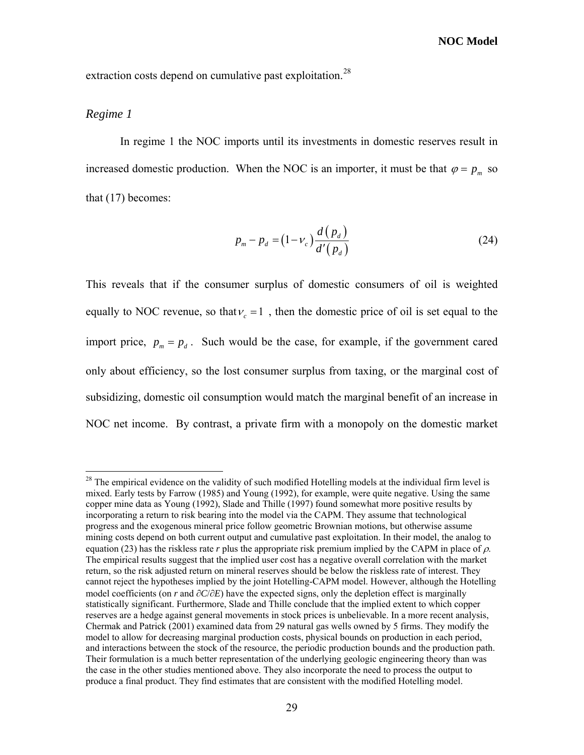extraction costs depend on cumulative past exploitation.<sup>[28](#page-38-0)</sup>

#### *Regime 1*

 $\overline{a}$ 

In regime 1 the NOC imports until its investments in domestic reserves result in increased domestic production. When the NOC is an importer, it must be that  $\varphi = p_m$  so that [\(17\)](#page-34-4) becomes:

$$
p_m - p_d = (1 - v_c) \frac{d(p_d)}{d'(p_d)}
$$
 (24)

This reveals that if the consumer surplus of domestic consumers of oil is weighted equally to NOC revenue, so that  $v_c = 1$ , then the domestic price of oil is set equal to the import price,  $p_m = p_d$ . Such would be the case, for example, if the government cared only about efficiency, so the lost consumer surplus from taxing, or the marginal cost of subsidizing, domestic oil consumption would match the marginal benefit of an increase in NOC net income. By contrast, a private firm with a monopoly on the domestic market

<span id="page-38-0"></span><sup>&</sup>lt;sup>28</sup> The empirical evidence on the validity of such modified Hotelling models at the individual firm level is mixed. Early tests by Farrow (1985) and Young (1992), for example, were quite negative. Using the same copper mine data as Young (1992), Slade and Thille (1997) found somewhat more positive results by incorporating a return to risk bearing into the model via the CAPM. They assume that technological progress and the exogenous mineral price follow geometric Brownian motions, but otherwise assume mining costs depend on both current output and cumulative past exploitation. In their model, the analog to equation (23) has the riskless rate *r* plus the appropriate risk premium implied by the CAPM in place of ρ. The empirical results suggest that the implied user cost has a negative overall correlation with the market return, so the risk adjusted return on mineral reserves should be below the riskless rate of interest. They cannot reject the hypotheses implied by the joint Hotelling-CAPM model. However, although the Hotelling model coefficients (on *r* and ∂*C*/∂*E*) have the expected signs, only the depletion effect is marginally statistically significant. Furthermore, Slade and Thille conclude that the implied extent to which copper reserves are a hedge against general movements in stock prices is unbelievable. In a more recent analysis, Chermak and Patrick (2001) examined data from 29 natural gas wells owned by 5 firms. They modify the model to allow for decreasing marginal production costs, physical bounds on production in each period, and interactions between the stock of the resource, the periodic production bounds and the production path. Their formulation is a much better representation of the underlying geologic engineering theory than was the case in the other studies mentioned above. They also incorporate the need to process the output to produce a final product. They find estimates that are consistent with the modified Hotelling model.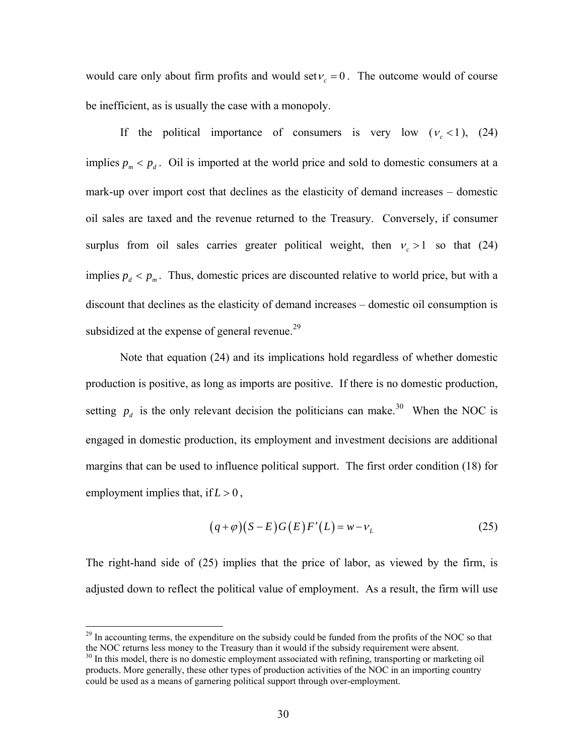would care only about firm profits and would set  $v_c = 0$ . The outcome would of course be inefficient, as is usually the case with a monopoly.

If the political importance of consumers is very low  $(v_c < 1)$ , (24) implies  $p_m < p_d$ . Oil is imported at the world price and sold to domestic consumers at a mark-up over import cost that declines as the elasticity of demand increases – domestic oil sales are taxed and the revenue returned to the Treasury. Conversely, if consumer surplus from oil sales carries greater political weight, then  $v_c > 1$  so that (24) implies  $p_d < p_m$ . Thus, domestic prices are discounted relative to world price, but with a discount that declines as the elasticity of demand increases – domestic oil consumption is subsidized at the expense of general revenue. $^{29}$  $^{29}$  $^{29}$ 

Note that equation (24) and its implications hold regardless of whether domestic production is positive, as long as imports are positive. If there is no domestic production, setting  $p_d$  is the only relevant decision the politicians can make.<sup>[30](#page-39-1)</sup> When the NOC is engaged in domestic production, its employment and investment decisions are additional margins that can be used to influence political support. The first order condition [\(18\)](#page-34-5) for employment implies that, if  $L > 0$ ,

$$
(q+\varphi)(S-E)G(E)F'(L) = w - vL
$$
\n(25)

The right-hand side of (25) implies that the price of labor, as viewed by the firm, is adjusted down to reflect the political value of employment. As a result, the firm will use

<span id="page-39-0"></span><sup>&</sup>lt;sup>29</sup> In accounting terms, the expenditure on the subsidy could be funded from the profits of the NOC so that the NOC returns less money to the Treasury than it would if the subsidy requirement were absent.<br><sup>30</sup> In this model, there is no domestic employment associated with refining, transporting or marketing oil

<span id="page-39-1"></span>products. More generally, these other types of production activities of the NOC in an importing country could be used as a means of garnering political support through over-employment.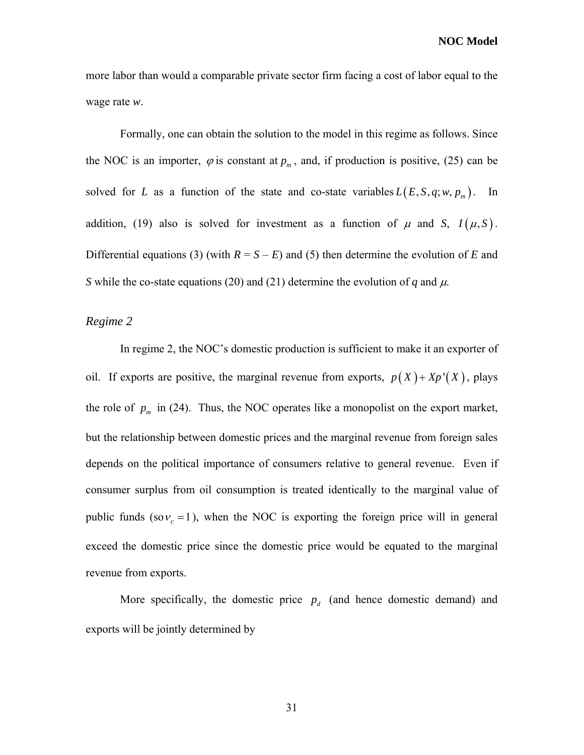more labor than would a comparable private sector firm facing a cost of labor equal to the wage rate *w*.

Formally, one can obtain the solution to the model in this regime as follows. Since the NOC is an importer,  $\varphi$  is constant at  $p_m$ , and, if production is positive, (25) can be solved for *L* as a function of the state and co-state variables  $L(E, S, q; w, p_m)$ . In addition, [\(19\)](#page-34-2) also is solved for investment as a function of  $\mu$  and *S*,  $I(\mu, S)$ . Differential equations (3) (with  $R = S - E$ ) and (5) then determine the evolution of *E* and *S* while the co-state equations (20) and (21) determine the evolution of *q* and  $\mu$ .

#### *Regime 2*

In regime 2, the NOC's domestic production is sufficient to make it an exporter of oil. If exports are positive, the marginal revenue from exports,  $p(X) + Xp'(X)$ , plays the role of  $p_m$  in (24). Thus, the NOC operates like a monopolist on the export market, but the relationship between domestic prices and the marginal revenue from foreign sales depends on the political importance of consumers relative to general revenue. Even if consumer surplus from oil consumption is treated identically to the marginal value of public funds  $(\text{so } v_c = 1)$ , when the NOC is exporting the foreign price will in general exceed the domestic price since the domestic price would be equated to the marginal revenue from exports.

More specifically, the domestic price  $p_d$  (and hence domestic demand) and exports will be jointly determined by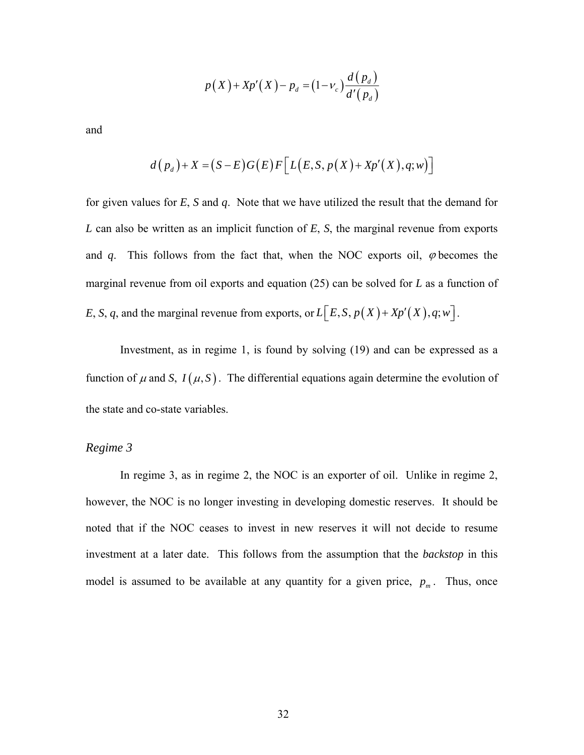$$
p(X) + Xp'(X) - p_d = (1 - \nu_c) \frac{d(p_d)}{d'(p_d)}
$$

and

$$
d(p_d)+X=(S-E)G(E)F\big[L(E,S,p(X)+Xp'(X),q;w)\big]
$$

for given values for *E*, *S* and *q*. Note that we have utilized the result that the demand for *L* can also be written as an implicit function of *E*, *S*, the marginal revenue from exports and  $q$ . This follows from the fact that, when the NOC exports oil,  $\varphi$  becomes the marginal revenue from oil exports and equation (25) can be solved for *L* as a function of *E*, *S*, *q*, and the marginal revenue from exports, or  $L\left[ E, S, p(X) + Xp'(X), q; w \right]$ .

Investment, as in regime 1, is found by solving [\(19\)](#page-34-2) and can be expressed as a function of  $\mu$  and *S*,  $I(\mu, S)$ . The differential equations again determine the evolution of the state and co-state variables.

#### *Regime 3*

In regime 3, as in regime 2, the NOC is an exporter of oil. Unlike in regime 2, however, the NOC is no longer investing in developing domestic reserves. It should be noted that if the NOC ceases to invest in new reserves it will not decide to resume investment at a later date. This follows from the assumption that the *backstop* in this model is assumed to be available at any quantity for a given price,  $p_m$ . Thus, once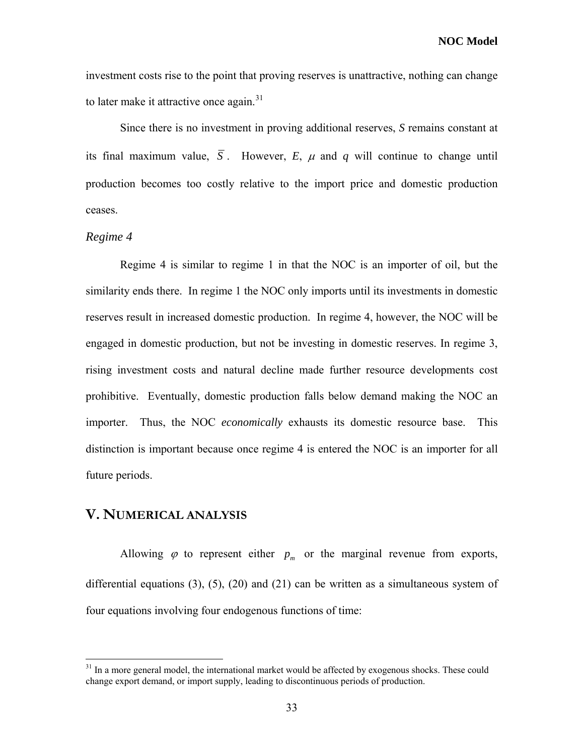investment costs rise to the point that proving reserves is unattractive, nothing can change to later make it attractive once again.<sup>[31](#page-42-0)</sup>

Since there is no investment in proving additional reserves, *S* remains constant at its final maximum value,  $\overline{S}$ . However, *E*,  $\mu$  and  $q$  will continue to change until production becomes too costly relative to the import price and domestic production ceases.

#### *Regime 4*

 $\overline{a}$ 

Regime 4 is similar to regime 1 in that the NOC is an importer of oil, but the similarity ends there. In regime 1 the NOC only imports until its investments in domestic reserves result in increased domestic production. In regime 4, however, the NOC will be engaged in domestic production, but not be investing in domestic reserves. In regime 3, rising investment costs and natural decline made further resource developments cost prohibitive. Eventually, domestic production falls below demand making the NOC an importer. Thus, the NOC *economically* exhausts its domestic resource base. This distinction is important because once regime 4 is entered the NOC is an importer for all future periods.

#### **V. NUMERICAL ANALYSIS**

Allowing  $\varphi$  to represent either  $p_m$  or the marginal revenue from exports, differential equations [\(3\)](#page-27-0), [\(5\),](#page-28-1) [\(20\)](#page-34-3) and [\(21\)](#page-34-6) can be written as a simultaneous system of four equations involving four endogenous functions of time:

<span id="page-42-0"></span> $31$  In a more general model, the international market would be affected by exogenous shocks. These could change export demand, or import supply, leading to discontinuous periods of production.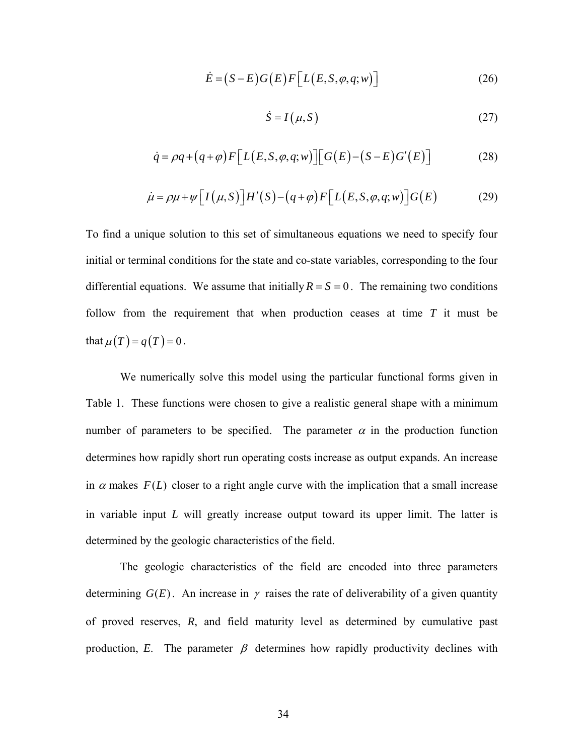$$
\dot{E} = (S - E)G(E)F[L(E, S, \varphi, q; w)]
$$
\n(26)

$$
\dot{S} = I(\mu, S) \tag{27}
$$

$$
\dot{q} = \rho q + (q + \varphi) F \Big[ L(E, S, \varphi, q; w) \Big] \Big[ G(E) - (S - E) G'(E) \Big] \tag{28}
$$

$$
\dot{\mu} = \rho \mu + \psi \Big[ I(\mu, S) \Big] H'(S) - (q + \varphi) F \Big[ L(E, S, \varphi, q; w) \Big] G(E) \tag{29}
$$

To find a unique solution to this set of simultaneous equations we need to specify four initial or terminal conditions for the state and co-state variables, corresponding to the four differential equations. We assume that initially  $R = S = 0$ . The remaining two conditions follow from the requirement that when production ceases at time *T* it must be that  $\mu(T) = q(T) = 0$ .

We numerically solve this model using the particular functional forms given in Table 1. These functions were chosen to give a realistic general shape with a minimum number of parameters to be specified. The parameter  $\alpha$  in the production function determines how rapidly short run operating costs increase as output expands. An increase in  $\alpha$  makes  $F(L)$  closer to a right angle curve with the implication that a small increase in variable input *L* will greatly increase output toward its upper limit. The latter is determined by the geologic characteristics of the field.

The geologic characteristics of the field are encoded into three parameters determining  $G(E)$ . An increase in  $\gamma$  raises the rate of deliverability of a given quantity of proved reserves, *R*, and field maturity level as determined by cumulative past production, *E*. The parameter  $\beta$  determines how rapidly productivity declines with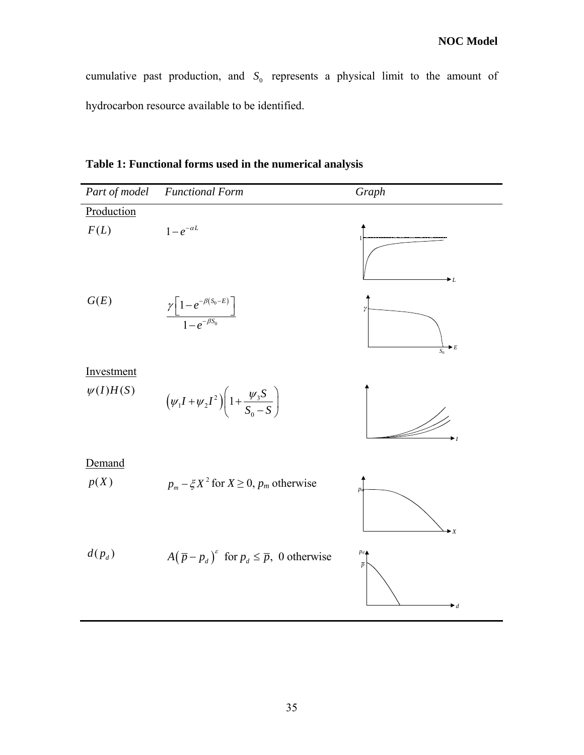cumulative past production, and  $S_0$  represents a physical limit to the amount of hydrocarbon resource available to be identified.

**Table 1: Functional forms used in the numerical analysis** 

| Part of model               | <b>Functional Form</b>                                                                             | Graph                                              |
|-----------------------------|----------------------------------------------------------------------------------------------------|----------------------------------------------------|
| Production                  |                                                                                                    |                                                    |
| F(L)                        | $1-e^{-\alpha L}$                                                                                  | $\bullet$ L                                        |
| G(E)                        | $\frac{\gamma \left[1-e^{-\beta (S_0-E)}\right]}{1-e^{-\beta S_0}}$                                | $\blacktriangleright$ E<br>$S_0$                   |
| Investment<br>$\psi(I)H(S)$ | $(\psi_1 I + \psi_2 I^2) \left(1 + \frac{\psi_3 S}{S_0 - S}\right)$                                | ▸                                                  |
| Demand<br>p(X)              | $p_m - \xi X^2$ for $X \ge 0$ , $p_m$ otherwise                                                    | $\blacktriangleright$ X                            |
| $d(p_d)$                    | $A(\overline{p} - p_d)$ <sup><math>\epsilon</math></sup> for $p_d \leq \overline{p}$ , 0 otherwise | $p_d$<br>$\overline{p}$<br>$\blacktriangleright$ d |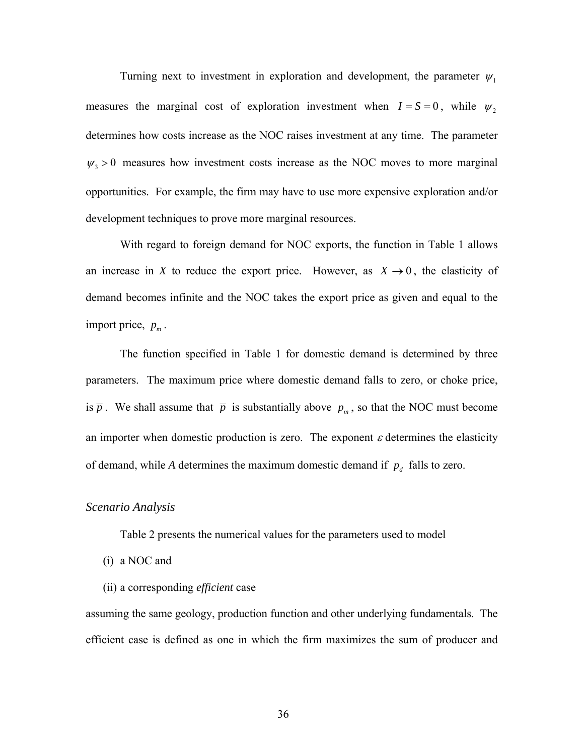Turning next to investment in exploration and development, the parameter  $\psi_1$ measures the marginal cost of exploration investment when  $I = S = 0$ , while  $\psi_2$ determines how costs increase as the NOC raises investment at any time. The parameter  $\psi_3 > 0$  measures how investment costs increase as the NOC moves to more marginal opportunities. For example, the firm may have to use more expensive exploration and/or development techniques to prove more marginal resources.

With regard to foreign demand for NOC exports, the function in Table 1 allows an increase in *X* to reduce the export price. However, as  $X \to 0$ , the elasticity of demand becomes infinite and the NOC takes the export price as given and equal to the import price,  $p_m$ .

The function specified in Table 1 for domestic demand is determined by three parameters. The maximum price where domestic demand falls to zero, or choke price, is  $\bar{p}$ . We shall assume that  $\bar{p}$  is substantially above  $p_m$ , so that the NOC must become an importer when domestic production is zero. The exponent  $\varepsilon$  determines the elasticity of demand, while *A* determines the maximum domestic demand if  $p_d$  falls to zero.

#### *Scenario Analysis*

Table 2 presents the numerical values for the parameters used to model

- (i) a NOC and
- (ii) a corresponding *efficient* case

assuming the same geology, production function and other underlying fundamentals. The efficient case is defined as one in which the firm maximizes the sum of producer and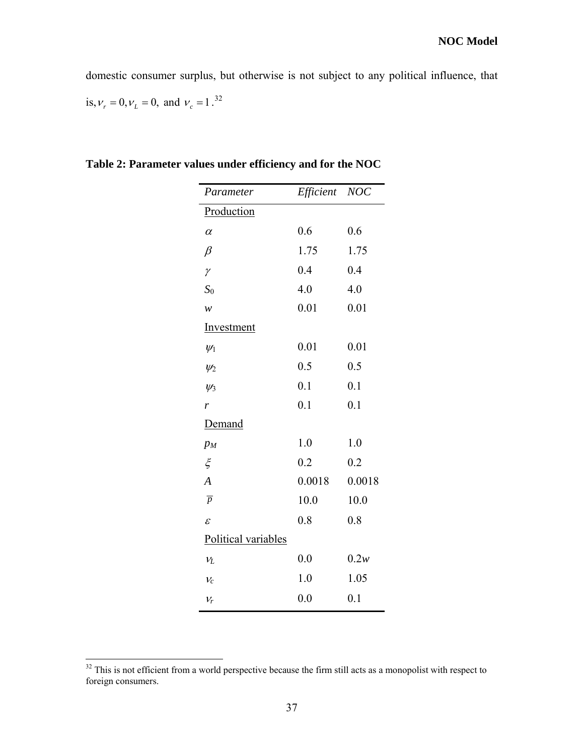domestic consumer surplus, but otherwise is not subject to any political influence, that is,  $v_r = 0$ ,  $v_L = 0$ , and  $v_c = 1$ .<sup>[32](#page-46-0)</sup>

| Efficient           | <b>NOC</b> |  |  |
|---------------------|------------|--|--|
| Production          |            |  |  |
| 0.6                 | 0.6        |  |  |
| 1.75                | 1.75       |  |  |
| 0.4                 | 0.4        |  |  |
| 4.0                 | 4.0        |  |  |
| 0.01                | 0.01       |  |  |
| Investment          |            |  |  |
| 0.01                | 0.01       |  |  |
| 0.5                 | 0.5        |  |  |
| 0.1                 | 0.1        |  |  |
| 0.1                 | 0.1        |  |  |
| Demand              |            |  |  |
| 1.0                 | 1.0        |  |  |
| 0.2                 | 0.2        |  |  |
| 0.0018              | 0.0018     |  |  |
| 10.0                | 10.0       |  |  |
| 0.8                 | 0.8        |  |  |
| Political variables |            |  |  |
| 0.0                 | 0.2w       |  |  |
| 1.0                 | 1.05       |  |  |
| 0.0                 | 0.1        |  |  |
|                     |            |  |  |

**Table 2: Parameter values under efficiency and for the NOC** 

<span id="page-46-0"></span> $32$  This is not efficient from a world perspective because the firm still acts as a monopolist with respect to foreign consumers.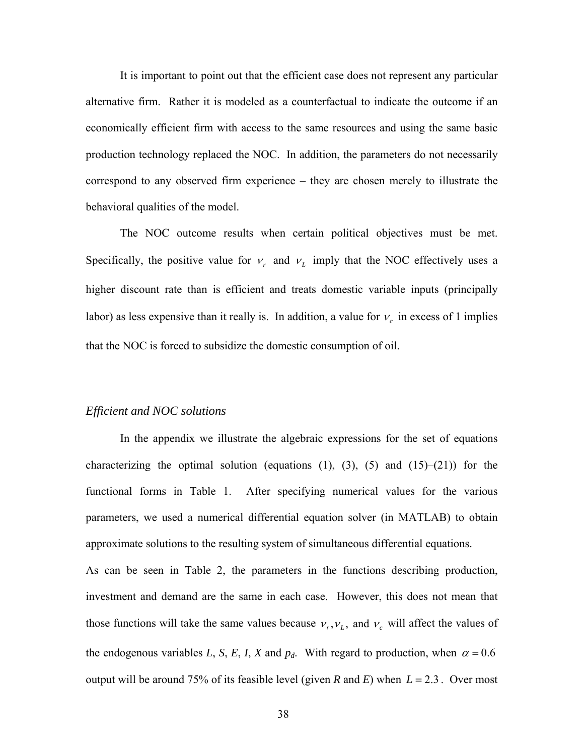It is important to point out that the efficient case does not represent any particular alternative firm. Rather it is modeled as a counterfactual to indicate the outcome if an economically efficient firm with access to the same resources and using the same basic production technology replaced the NOC. In addition, the parameters do not necessarily correspond to any observed firm experience – they are chosen merely to illustrate the behavioral qualities of the model.

The NOC outcome results when certain political objectives must be met. Specifically, the positive value for  $v_r$  and  $v_l$  imply that the NOC effectively uses a higher discount rate than is efficient and treats domestic variable inputs (principally labor) as less expensive than it really is. In addition, a value for  $v_c$  in excess of 1 implies that the NOC is forced to subsidize the domestic consumption of oil.

#### *Efficient and NOC solutions*

In the appendix we illustrate the algebraic expressions for the set of equations characterizing the optimal solution (equations  $(1)$ ,  $(3)$ ,  $(5)$  and  $(15)$ – $(21)$ ) for the functional forms in Table 1. After specifying numerical values for the various parameters, we used a numerical differential equation solver (in MATLAB) to obtain approximate solutions to the resulting system of simultaneous differential equations.

As can be seen in Table 2, the parameters in the functions describing production, investment and demand are the same in each case. However, this does not mean that those functions will take the same values because  $v_r$ ,  $v_l$ , and  $v_c$  will affect the values of the endogenous variables *L*, *S*, *E*, *I*, *X* and  $p_d$ . With regard to production, when  $\alpha = 0.6$ output will be around 75% of its feasible level (given *R* and *E*) when  $L = 2.3$ . Over most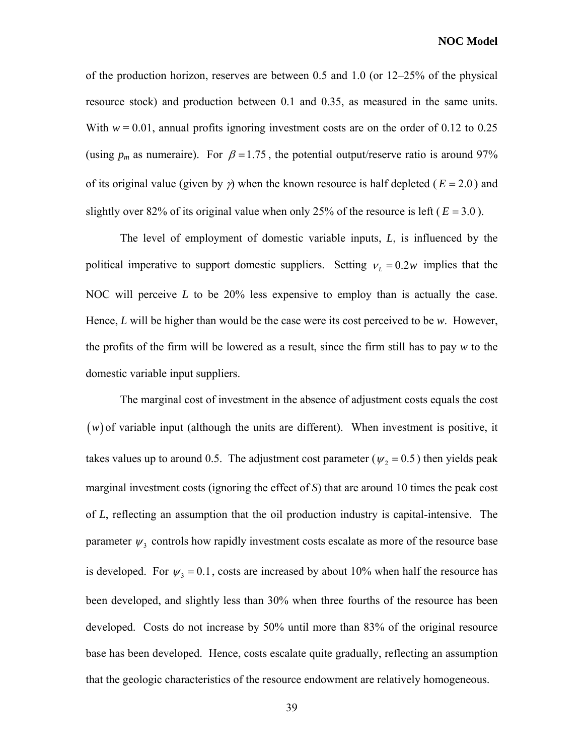of the production horizon, reserves are between 0.5 and 1.0 (or 12–25% of the physical resource stock) and production between 0.1 and 0.35, as measured in the same units. With  $w = 0.01$ , annual profits ignoring investment costs are on the order of 0.12 to 0.25 (using  $p_m$  as numeraire). For  $\beta = 1.75$ , the potential output/reserve ratio is around 97% of its original value (given by  $\gamma$ ) when the known resource is half depleted ( $E = 2.0$ ) and slightly over 82% of its original value when only 25% of the resource is left ( $E = 3.0$ ).

The level of employment of domestic variable inputs,  $L$ , is influenced by the political imperative to support domestic suppliers. Setting  $v_L = 0.2w$  implies that the NOC will perceive *L* to be 20% less expensive to employ than is actually the case. Hence, *L* will be higher than would be the case were its cost perceived to be *w*. However, the profits of the firm will be lowered as a result, since the firm still has to pay *w* to the domestic variable input suppliers.

The marginal cost of investment in the absence of adjustment costs equals the cost  $(w)$  of variable input (although the units are different). When investment is positive, it takes values up to around 0.5. The adjustment cost parameter ( $\psi_2 = 0.5$ ) then yields peak marginal investment costs (ignoring the effect of  $S$ ) that are around 10 times the peak cost of *L*, reflecting an assumption that the oil production industry is capital-intensive. The parameter  $\psi_3$  controls how rapidly investment costs escalate as more of the resource base is developed. For  $\psi_3 = 0.1$ , costs are increased by about 10% when half the resource has been developed, and slightly less than 30% when three fourths of the resource has been developed. Costs do not increase by 50% until more than 83% of the original resource base has been developed. Hence, costs escalate quite gradually, reflecting an assumption that the geologic characteristics of the resource endowment are relatively homogeneous.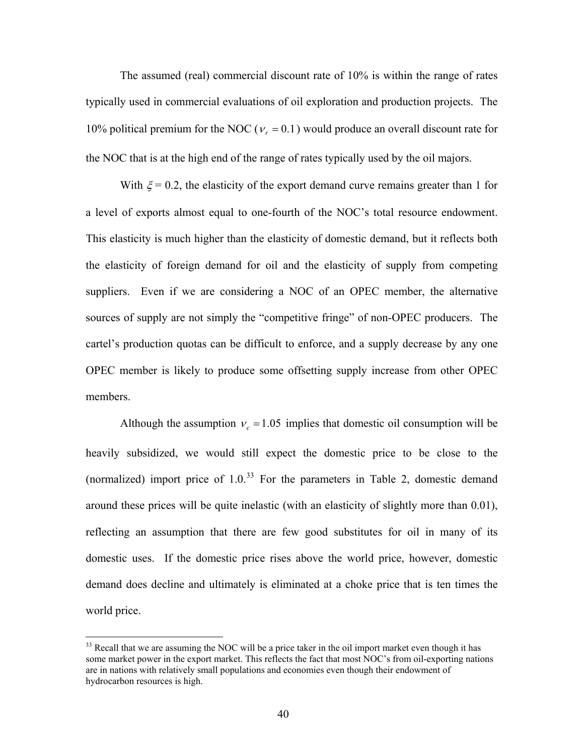The assumed (real) commercial discount rate of 10% is within the range of rates typically used in commercial evaluations of oil exploration and production projects. The 10% political premium for the NOC ( $v_r = 0.1$ ) would produce an overall discount rate for the NOC that is at the high end of the range of rates typically used by the oil majors.

With  $\xi$  = 0.2, the elasticity of the export demand curve remains greater than 1 for a level of exports almost equal to one-fourth of the NOC's total resource endowment . This elasticity is much higher than the elasticity of domestic demand, but it reflects both the elasticity of foreign demand for oil and the elasticity of supply from competing suppliers. Even if we are considering a NOC of an OPEC member, the alternative sources of supply are not simply the "competitive fringe" of non-OPEC producers. The cartel's production quotas can be difficult to enforce, and a supply decrease by any one OPEC member is likely to produce some offsetting supply increase from other OPEC members.

Although the assumption  $v_c = 1.05$  implies that domestic oil consumption will be heavily subsidized, we would still expect the domestic price to be close to the (normalized) import price of  $1.0^{33}$  For the parameters in Table 2, domestic demand around these prices will be quite inelastic (with an elasticity of slightly more than 0.01), reflecting an assumption that there are few good substitutes for oil in many of its domestic uses. If the domestic price rises above the world price, however, domestic demand does decline and ultimately is eliminated at a choke price that is ten times the world price.

 $33$  Recall that we are assuming the NOC will be a price taker in the oil import market even though it has some market power in the export market. This reflects the fact that most NOC's from oil-exporting nations are in nations with relatively small populations and economies even though their endowment of hydrocarbon resources is high.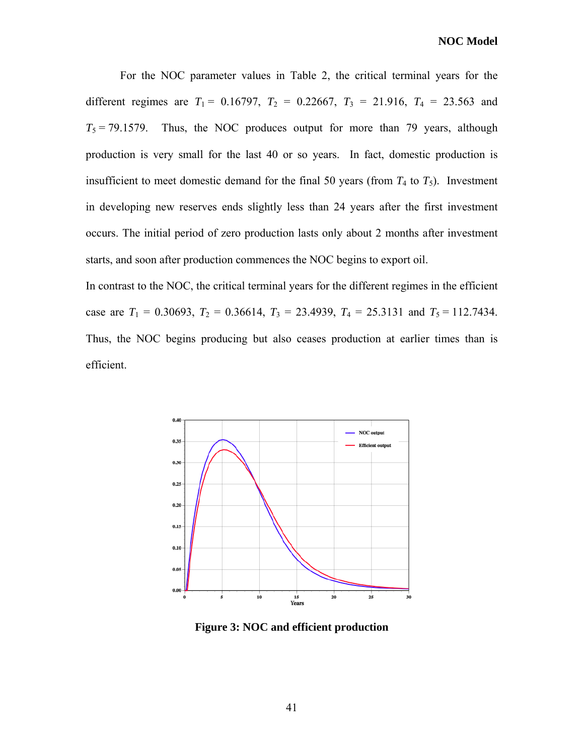For the NOC parameter values in Table 2, the critical terminal years for the different regimes are  $T_1 = 0.16797$ ,  $T_2 = 0.22667$ ,  $T_3 = 21.916$ ,  $T_4 = 23.563$  and  $T_5 = 79.1579$ . Thus, the NOC produces output for more than 79 years, although production is very small for the last 40 or so years. In fact, domestic production is insufficient to meet domestic demand for the final 50 years (from  $T_4$  to  $T_5$ ). Investment in developing new reserves ends slightly less than 24 years after the first investment occurs. The initial period of zero production lasts only about 2 months after investment starts, and soon after production commences the NOC begins to export oil.

case are  $T_1 = 0.30693$ ,  $T_2 = 0.36614$ ,  $T_3 = 23.4939$ ,  $T_4 = 25.3131$  and  $T_5 = 112.7434$ . In contrast to the NOC, the critical terminal years for the different regimes in the efficient Thus, the NOC begins producing but also ceases production at earlier times than is efficient.



**Figure 3: NOC and efficient production**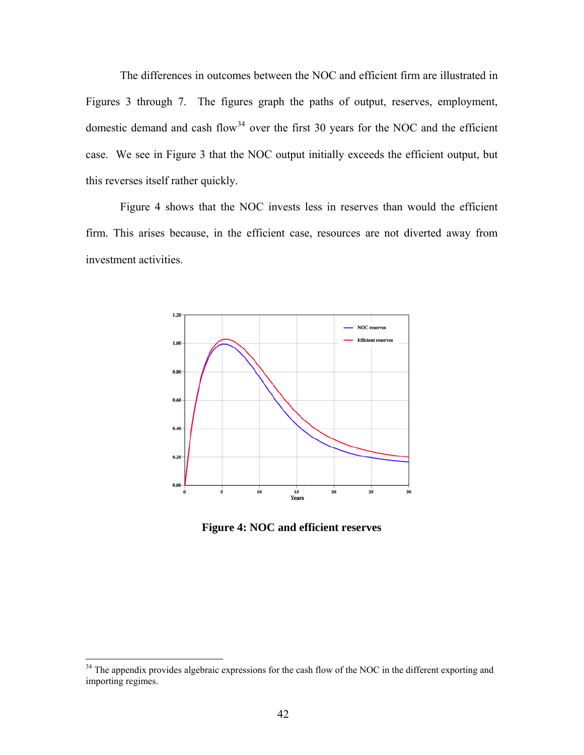The differences in outcomes between the NOC and efficient firm are illustrated in Figures 3 through 7. The figures graph the paths of output, reserves, employment, domestic demand and cash flow<sup>[34](#page-51-0)</sup> over the first 30 years for the NOC and the efficient case. We see in Figure 3 that the NOC output initially exceeds the efficient output, but this reverses itself rather quickly.

Figure 4 shows that the NOC invests less in reserves than would the efficient firm. T his arises because, in the efficient case, resources are not diverted away from investment activities.



**Figure 4: NOC and efficient reserves** 

<span id="page-51-0"></span> $34$  The appendix provides algebraic expressions for the cash flow of the NOC in the different exporting and importing regimes.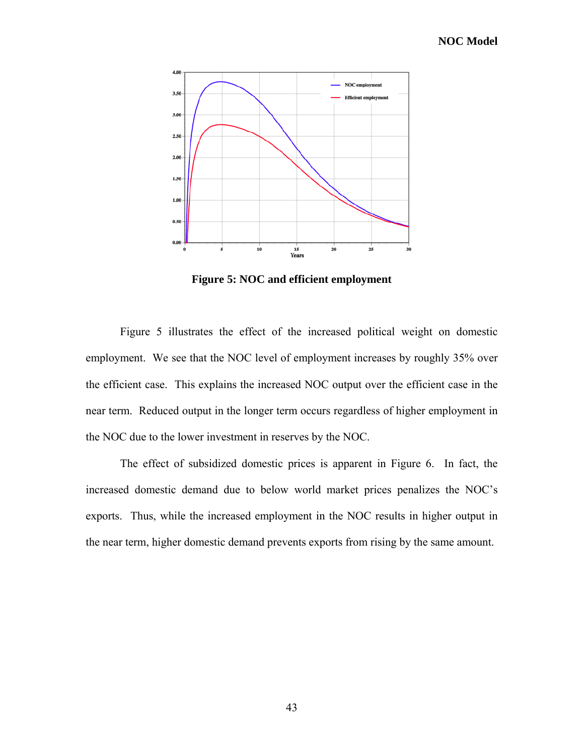

**Figure 5: NOC and efficient employment** 

Figure 5 illustrates the effect of the increased political weight on domestic employment. We see that the NOC level of employment increases by roughly 35% over the efficient case. This explains the increased NOC output over the efficient case in the near term. Reduced output in the longer term occurs regardless of higher employment in the NOC due to the lower investment in reserves by the NOC.

The effect of subsidized domestic prices is apparent in Figure 6. In fact, the increased domestic demand due to below world market prices penalizes the NOC's exports. Thus, while the increased employment in the NOC results in higher output in the near term, higher domestic demand prevents exports from rising by the same amount.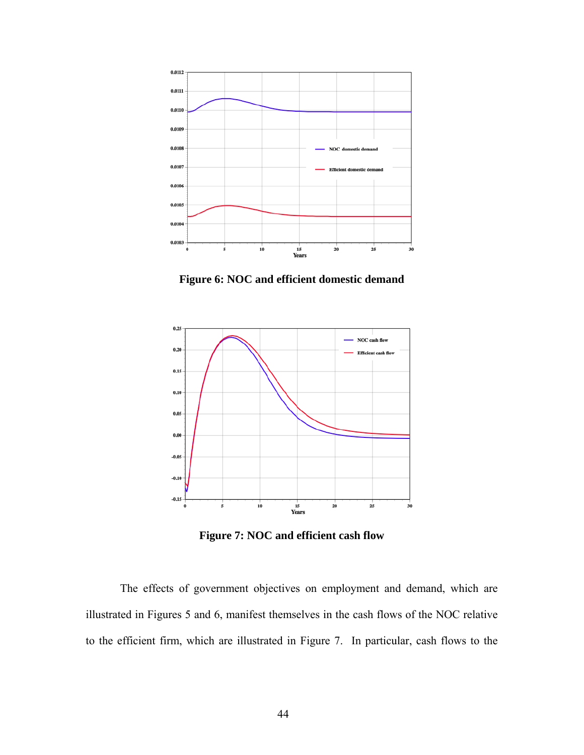

**Figure 6: NOC and efficient domestic demand** 



**Figure 7: NOC and efficient cash flow** 

The effects of government objectives on employment and demand, which are illustrated in Figures 5 and 6, manifest themselves in the cash flows of the NOC relative to the efficient firm, which are illustrated in Figure 7. In particular, cash flows to the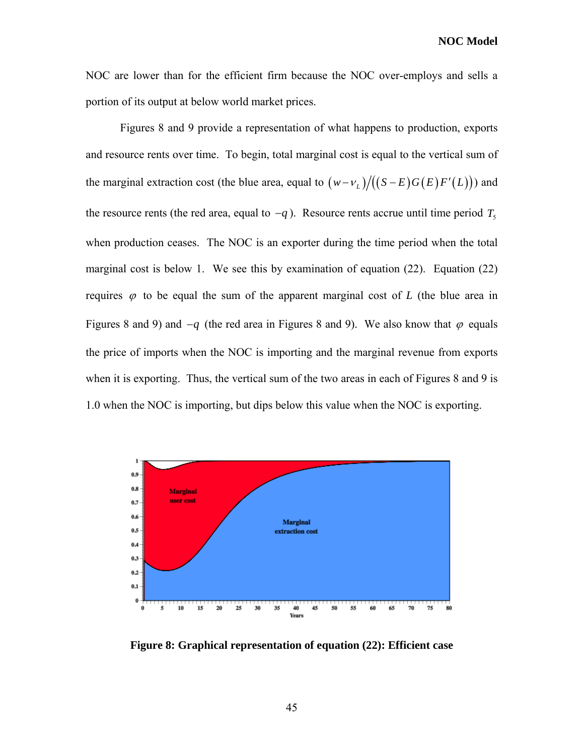**NOC Model** 

NOC are lower than for the efficient firm because the NOC over-employs and sells a portion of its output at below world market prices.

Figures 8 and 9 provide a representation of what happens to production, exports and resource rents over time. To begin, total marginal cost is equal to the vertical sum of the marginal extraction cost (the blue area, equal to  $(w - v_L)/(S - E)G(E)F'(L))$ ) and the resource rents (the red area, equal to  $-q$ ). Resource rents accrue until time period  $T_5$ when production ceases. The NOC is an exporter during the time period when the total marginal cost is below 1. We see this by examination of equation (22). Equation (22) requires  $\varphi$  to be equal the sum of the apparent marginal cost of *L* (the blue area in Figures 8 and 9) and  $-q$  (the red area in Figures 8 and 9). We also know that  $\varphi$  equals the price of imports when the NOC is importing and the marginal revenue from exports when it is exporting. Thus, the vertical sum of the two areas in each of Figures 8 and 9 is 1.0 when the NOC is importing, but dips below this value when the NOC is exporting.



**Figure 8: Graphical representation of equation (22): Efficient case**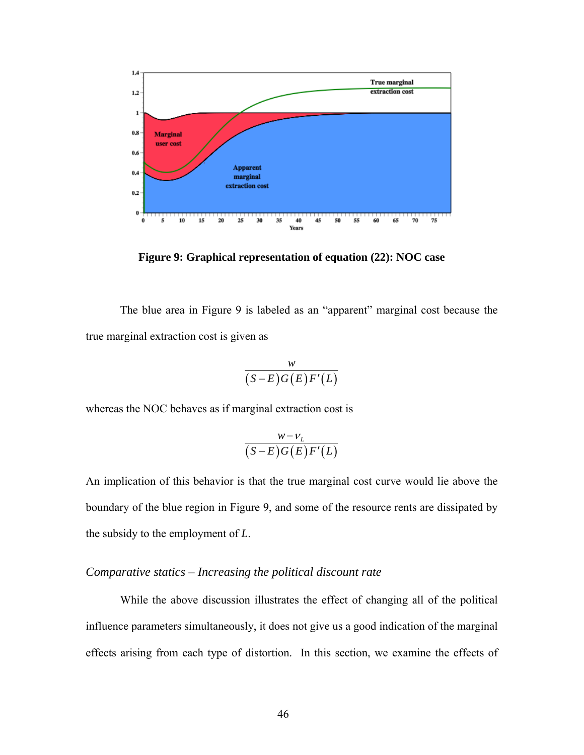

**Figure 9: Graphical representation of equation (22): NOC case** 

The blue area in Figure 9 is labeled as an "apparent" marginal cost because the true marginal extraction cost is given as

$$
\frac{w}{(S-E)G(E)F'(L)}
$$

whereas the NOC behaves as if marginal extraction cost is

$$
\frac{w-v_L}{(S-E)G(E)F'(L)}
$$

An implication of this behavior is that the true marginal cost curve would lie above the boundary of the blue region in Figure 9, and some of the resource rents are dissipated by the subsidy to the employment of *L*.

#### *Comparative statics – Increasing the political discount rate*

While the above discussion illustrates the effect of changing all of the political influence parameters simultaneously, it does not give us a good indication of the marginal effects arising from each type of distortion. In this section, we examine the effects of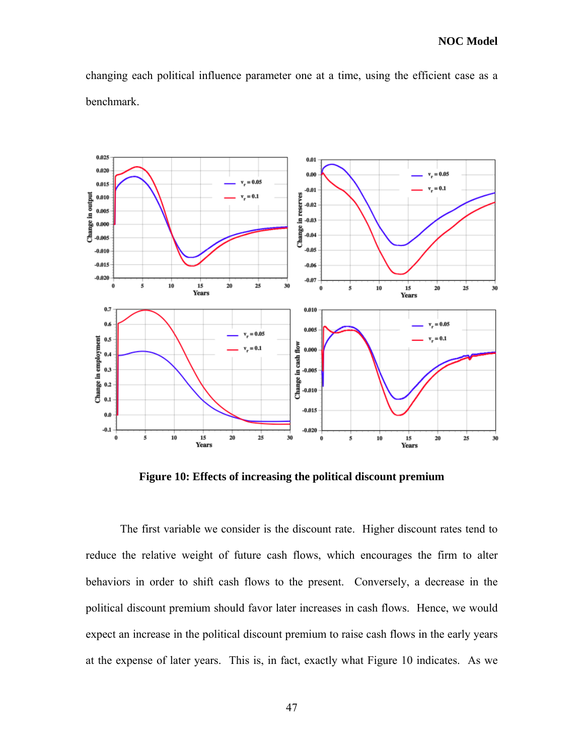changing each political influence parameter one at a time, using the efficient case as a benchmark.



**Figure 10: Effects of increasing the political discount premium** 

The first variable we consider is the discount rate. Higher discount rates tend to reduce the relative weight of future cash flows, which encourages the firm to alter behaviors in order to shift cash flows to the present. Conversely, a decrease in the political discount premium should favor later increases in cash flows. Hence, we would expect an increase in the political discount premium to raise cash flows in the early years at the expense of later years. This is, in fact, exactly what Figure 10 indicates. As we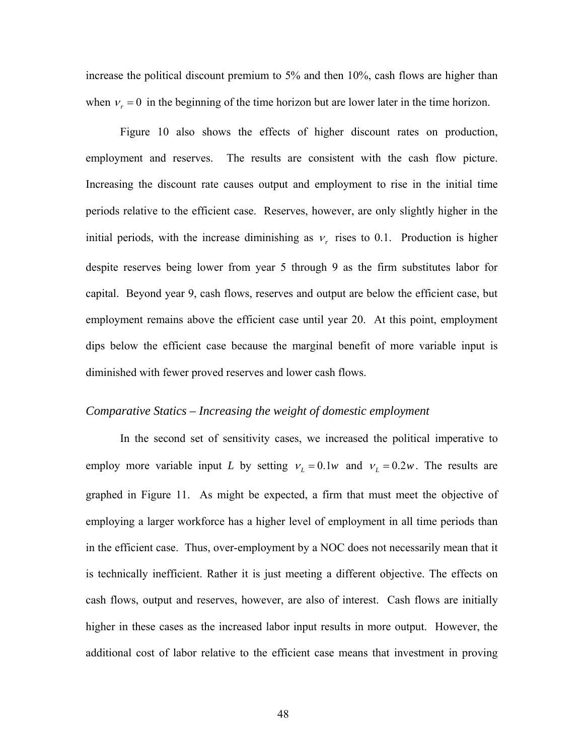increase the political discount premium to 5% and then 10%, cash flows are higher than when  $v_r = 0$  in the beginning of the time horizon but are lower later in the time horizon.

Figure 10 also shows the effects of higher discount rates on production, employment and reserves. The results are consistent with the cash flow picture. Increasing the discount rate causes output and employment to rise in the initial time periods relative to the efficient case. Reserves, however, are only slightly higher in the initial periods, with the increase diminishing as  $v_r$  rises to 0.1. Production is higher despite reserves being lower from year 5 through 9 as the firm substitutes labor for capital. Beyond year 9, cash flows, reserves and output are below the efficient case, but employment remains above the efficient case until year 20. At this point, employment dips below the efficient case because the marginal benefit of more variable input is diminished with fewer proved reserves and lower cash flows.

#### *Comparative Statics – Increasing the weight of domestic employment*

In the second set of sensitivity cases, we increased the political imperative to employ more variable input *L* by setting  $v_L = 0.1w$  and  $v_L = 0.2w$ . The results are graphed in Figure 11. As might be expected, a firm that must meet the objective of employing a larger workforce has a higher level of employment in all time periods than in the efficient case. Thus, over-employment by a NOC does not necessarily mean that it is technically inefficient. Rather it is just meeting a different objective. The effects on cash flows, output and reserves, however, are also of interest. Cash flows are initially higher in these cases as the increased labor input results in more output. However, the additional cost of labor relative to the efficient case means that investment in proving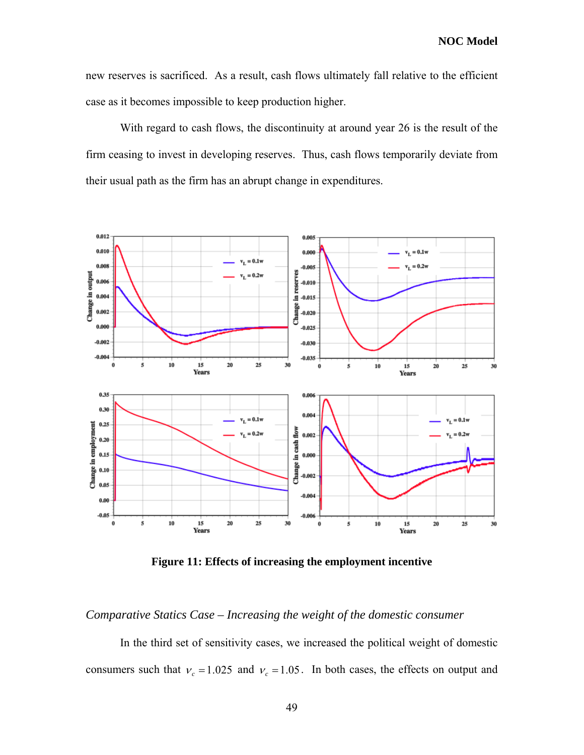new reserves is sacrificed. As a result, cash flows ultimately fall relative to the efficient case as it becomes impossible to keep production higher.

With regard to cash flows, the discontinuity at around year 26 is the result of the firm ceasing to invest in developing reserves. Thus, cash flows temporarily deviate from their usual path as the firm has an abrupt change in expenditures.



**Figure 11: Effects of increasing the employment incentive** 

*Comparative Statics Case – Increasing the weight of the domestic consumer* 

In the third set of sensitivity cases, we increased the political weight of domestic consumers such that  $v_c = 1.025$  and  $v_c = 1.05$ . In both cases, the effects on output and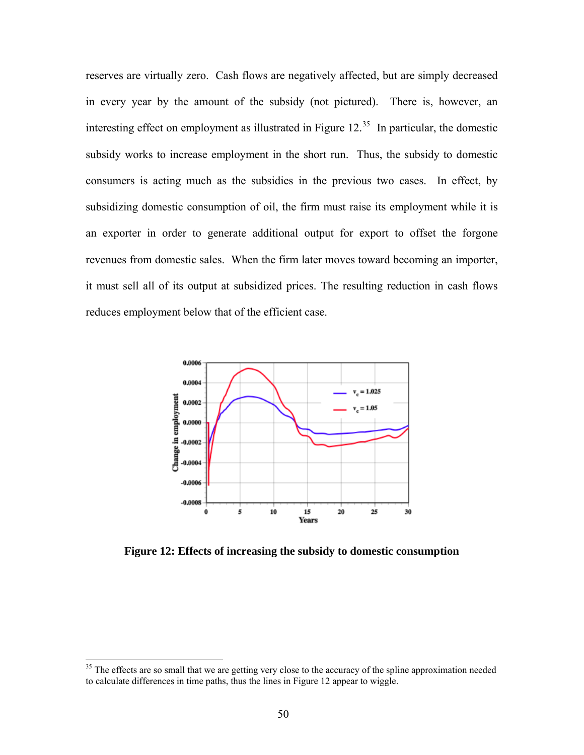reserves are virtually zero. Cash flows are negatively affected, but are simply decreased in every year by the amount of the subsidy (not pictured). There is, however, an interesting effect on employment as illustrated in Figure  $12<sup>35</sup>$  $12<sup>35</sup>$  $12<sup>35</sup>$  In particular, the domestic subsidy works to increase employment in the short run. Thus, the subsidy to domestic consumers is acting much as the subsidies in the previous two cases. In effect, by subsidizing domestic consumption of oil, the firm must raise its employment while it is an exporter in order to generate additional output for export to offset the forgone revenues from domestic sales. When the firm later moves toward becoming an importer, it must sell all of its output at subsidized prices. The resulting reduction in cash flows reduces employment below that of the efficient case.



**Figure 12: Effects of increasing the subsidy to domestic consumption** 

<span id="page-59-0"></span><sup>&</sup>lt;sup>35</sup> The effects are so small that we are getting very close to the accuracy of the spline approximation needed to calculate differences in time paths, thus the lines in Figure 12 appear to wiggle.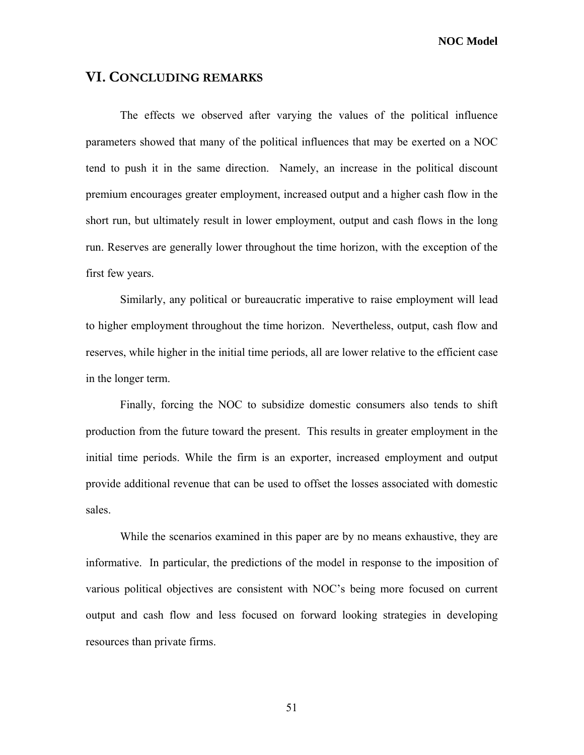**NOC Model** 

#### **VI. CONCLUDING REMARKS**

The effects we observed after varying the values of the political influence parameters showed that many of the political influences that may be exerted on a NOC tend to push it in the same direction. Namely, an increase in the political discount premium encourages greater employment, increased output and a higher cash flow in the short run, but ultimately result in lower employment, output and cash flows in the long run. Reserves are generally lower throughout the time horizon, with the exception of the first few years.

Similarly, any political or bureaucratic imperative to raise employment will lead to higher employment throughout the time horizon. Nevertheless, output, cash flow and reserves, while higher in the initial time periods, all are lower relative to the efficient case in the longer term.

Finally, forcing the NOC to subsidize domestic consumers also tends to shift production from the future toward the present. This results in greater employment in the initial time periods. While the firm is an exporter, increased employment and output provide additional revenue that can be used to offset the losses associated with domestic sales.

While the scenarios examined in this paper are by no means exhaustive, they are informative. In particular, the predictions of the model in response to the imposition of various political objectives are consistent with NOC's being more focused on current output and cash flow and less focused on forward looking strategies in developing resources than private firms.

51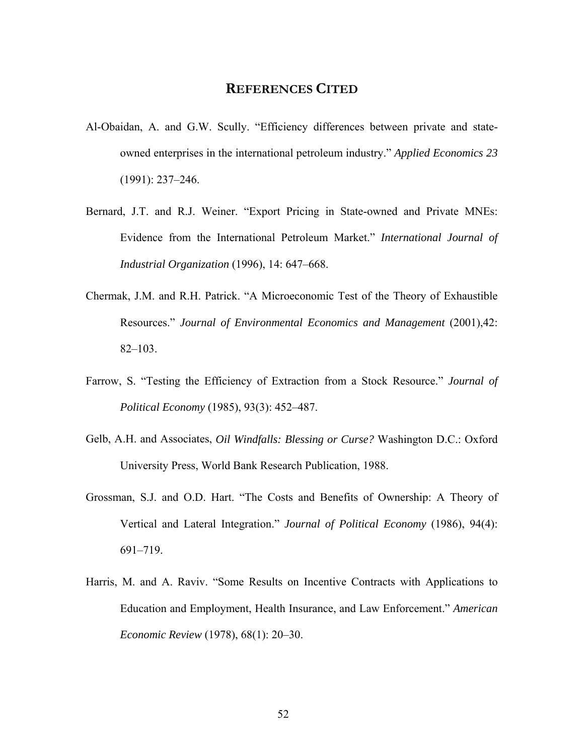#### **REFERENCES CITED**

- Al-Obaidan, A. and G.W. Scully. "Efficiency differences between private and stateowned enterprises in the international petroleum industry." *Applied Economics 23* (1991): 237–246.
- Bernard, J.T. and R.J. Weiner. "Export Pricing in State-owned and Private MNEs: Evidence from the International Petroleum Market." *International Journal of Industrial Organization* (1996), 14: 647–668.
- Chermak, J.M. and R.H. Patrick. "A Microeconomic Test of the Theory of Exhaustible Resources." *Journal of Environmental Economics and Management* (2001),42: 82–103.
- Farrow, S. "Testing the Efficiency of Extraction from a Stock Resource." *Journal of Political Economy* (1985), 93(3): 452–487.
- Gelb, A.H. and Associates, *Oil Windfalls: Blessing or Curse?* Washington D.C.: Oxford University Press, World Bank Research Publication, 1988.
- Grossman, S.J. and O.D. Hart. "The Costs and Benefits of Ownership: A Theory of Vertical and Lateral Integration." *Journal of Political Economy* (1986), 94(4): 691–719.
- Harris, M. and A. Raviv. "Some Results on Incentive Contracts with Applications to Education and Employment, Health Insurance, and Law Enforcement." *American Economic Review* (1978), 68(1): 20–30.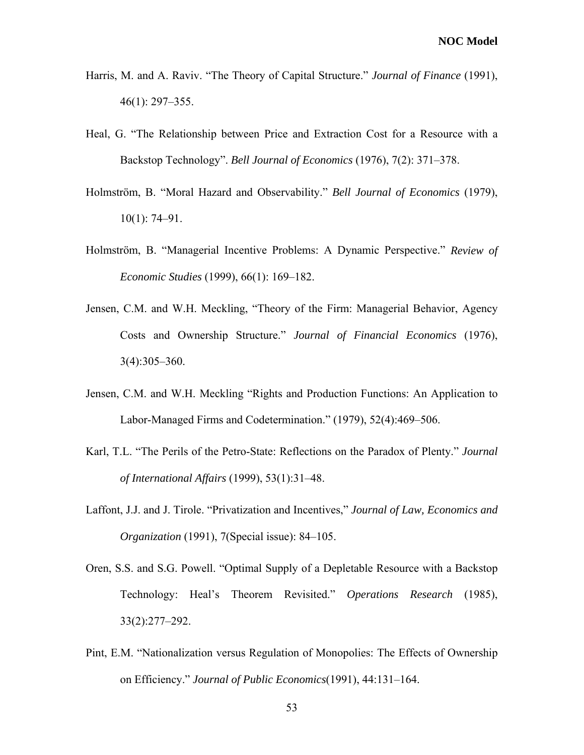- Harris, M. and A. Raviv. "The Theory of Capital Structure." *Journal of Finance* (1991), 46(1): 297–355.
- Heal, G. "The Relationship between Price and Extraction Cost for a Resource with a Backstop Technology". *Bell Journal of Economics* (1976), 7(2): 371–378.
- Holmström, B. "Moral Hazard and Observability." *Bell Journal of Economics* (1979), 10(1): 74–91.
- Holmström, B. "Managerial Incentive Problems: A Dynamic Perspective." *Review of Economic Studies* (1999), 66(1): 169–182.
- Jensen, C.M. and W.H. Meckling, "Theory of the Firm: Managerial Behavior, Agency Costs and Ownership Structure." *Journal of Financial Economics* (1976), 3(4):305–360.
- Jensen, C.M. and W.H. Meckling "Rights and Production Functions: An Application to Labor-Managed Firms and Codetermination." (1979), 52(4):469–506.
- Karl, T.L. "The Perils of the Petro-State: Reflections on the Paradox of Plenty." *Journal of International Affairs* (1999), 53(1):31–48.
- Laffont, J.J. and J. Tirole. "Privatization and Incentives," *Journal of Law, Economics and Organization* (1991), 7(Special issue): 84–105.
- Oren, S.S. and S.G. Powell. "Optimal Supply of a Depletable Resource with a Backstop Technology: Heal's Theorem Revisited." *Operations Research* (1985), 33(2):277–292.
- Pint, E.M. "Nationalization versus Regulation of Monopolies: The Effects of Ownership on Efficiency." *Journal of Public Economics*(1991), 44:131–164.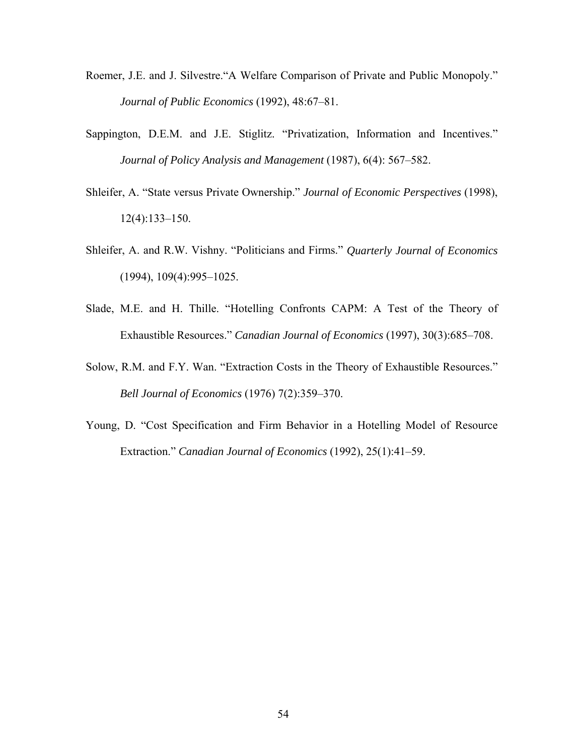- Roemer, J.E. and J. Silvestre."A Welfare Comparison of Private and Public Monopoly." *Journal of Public Economics* (1992), 48:67–81.
- Sappington, D.E.M. and J.E. Stiglitz. "Privatization, Information and Incentives." *Journal of Policy Analysis and Management* (1987), 6(4): 567–582.
- Shleifer, A. "State versus Private Ownership." *Journal of Economic Perspectives* (1998), 12(4):133–150.
- Shleifer, A. and R.W. Vishny. "Politicians and Firms." *Quarterly Journal of Economics* (1994), 109(4):995–1025.
- Slade, M.E. and H. Thille. "Hotelling Confronts CAPM: A Test of the Theory of Exhaustible Resources." *Canadian Journal of Economics* (1997), 30(3):685–708.
- Solow, R.M. and F.Y. Wan. "Extraction Costs in the Theory of Exhaustible Resources." *Bell Journal of Economics* (1976) 7(2):359–370.
- Young, D. "Cost Specification and Firm Behavior in a Hotelling Model of Resource Extraction." *Canadian Journal of Economics* (1992), 25(1):41–59.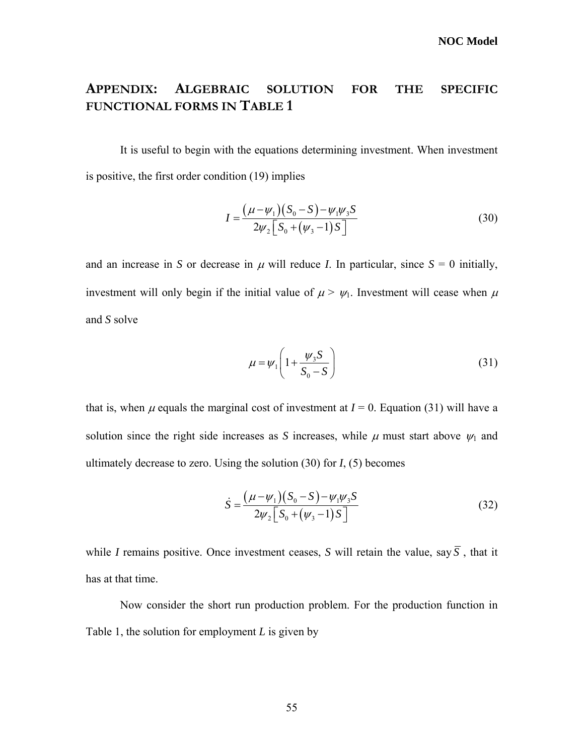### **APPENDIX: ALGEBRAIC SOLUTION FOR THE SPECIFIC FUNCTIONAL FORMS IN TABLE 1**

<span id="page-64-1"></span>It is useful to begin with the equations determining investment. When investment is positive, the first order condition [\(19\)](#page-34-2) implies

$$
I = \frac{(\mu - \psi_1)(S_0 - S) - \psi_1 \psi_3 S}{2\psi_2 \left[S_0 + (\psi_3 - 1)S\right]}
$$
(30)

and an increase in *S* or decrease in  $\mu$  will reduce *I*. In particular, since  $S = 0$  initially, investment will only begin if the initial value of  $\mu > \psi_1$ . Investment will cease when  $\mu$ and *S* solve

$$
\mu = \psi_1 \left( 1 + \frac{\psi_3 S}{S_0 - S} \right) \tag{31}
$$

<span id="page-64-0"></span>that is, when  $\mu$  equals the marginal cost of investment at  $I = 0$ . Equation [\(31\)](#page-64-0) will have a solution since the right side increases as *S* increases, while  $\mu$  must start above  $\psi_1$  and ultimately decrease to zero. Using the solution [\(30\)](#page-64-1) for *I*, [\(5\)](#page-28-1) becomes

$$
\dot{S} = \frac{(\mu - \psi_1)(S_0 - S) - \psi_1 \psi_3 S}{2\psi_2 \left[S_0 + (\psi_3 - 1)S\right]}
$$
(32)

while *I* remains positive. Once investment ceases, *S* will retain the value, say  $\overline{S}$ , that it has at that time.

Now consider the short run production problem. For the production function in Table 1, the solution for employment *L* is given by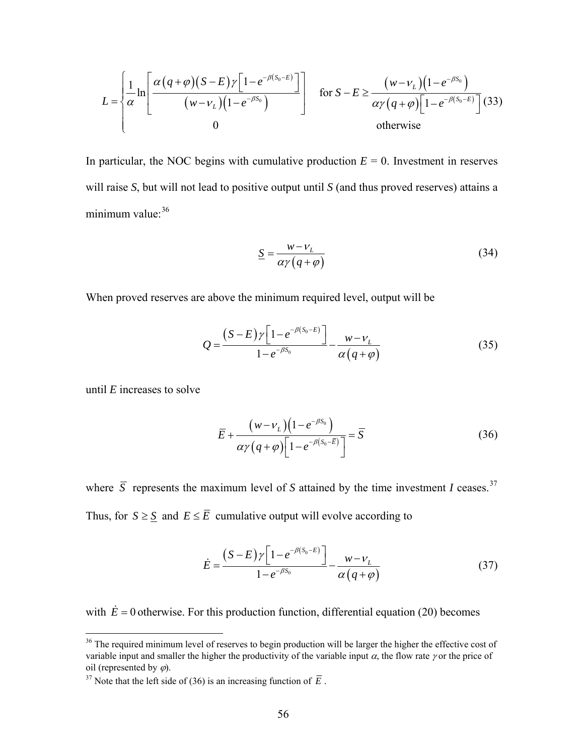$$
L = \left\{\frac{1}{\alpha} \ln \left[\frac{\alpha (q+\varphi)(S-E)\gamma \left[1-e^{-\beta (S_0-E)}\right]}{(w-\nu_L)(1-e^{-\beta S_0})}\right] \quad \text{for } S-E \ge \frac{(w-\nu_L)(1-e^{-\beta S_0})}{\alpha \gamma (q+\varphi) \left[1-e^{-\beta (S_0-E)}\right]} (33)
$$
\n
$$
\text{otherwise}
$$

In particular, the NOC begins with cumulative production  $E = 0$ . Investment in reserves will raise *S*, but will not lead to positive output until *S* (and thus proved reserves) attains a minimum value: $36$ 

$$
\underline{S} = \frac{w - v_L}{\alpha \gamma (q + \varphi)}
$$
(34)

<span id="page-65-3"></span><span id="page-65-2"></span>When proved reserves are above the minimum required level, output will be

$$
Q = \frac{(S - E)\gamma \left[1 - e^{-\beta(S_0 - E)}\right]}{1 - e^{-\beta S_0}} - \frac{w - v_L}{\alpha (q + \varphi)}
$$
(35)

until *E* increases to solve

<u>.</u>

$$
\overline{E} + \frac{(w - v_L)(1 - e^{-\beta S_0})}{\alpha \gamma (q + \varphi) \left[1 - e^{-\beta (S_0 - \overline{E})}\right]} = \overline{S}
$$
\n(36)

where  $\overline{S}$  represents the maximum level of *S* attained by the time investment *I* ceases.<sup>[37](#page-65-1)</sup> Thus, for  $S \geq \underline{S}$  and  $E \leq \overline{E}$  cumulative output will evolve according to

$$
\dot{E} = \frac{(S-E)\gamma \left[1 - e^{-\beta(S_0 - E)}\right]}{1 - e^{-\beta S_0}} - \frac{w - v_L}{\alpha (q + \varphi)}
$$
(37)

<span id="page-65-4"></span>with  $\dot{E} = 0$  otherwise. For this production function, differential equation [\(20\)](#page-34-3) becomes

<span id="page-65-0"></span><sup>&</sup>lt;sup>36</sup> The required minimum level of reserves to begin production will be larger the higher the effective cost of variable input and smaller the higher the productivity of the variable input  $\alpha$ , the flow rate  $\gamma$  or the price of oil (represented by  $\varphi$ ).<br><sup>37</sup> Note that the left side of (36) is an increasing function of  $\overline{E}$ .

<span id="page-65-1"></span>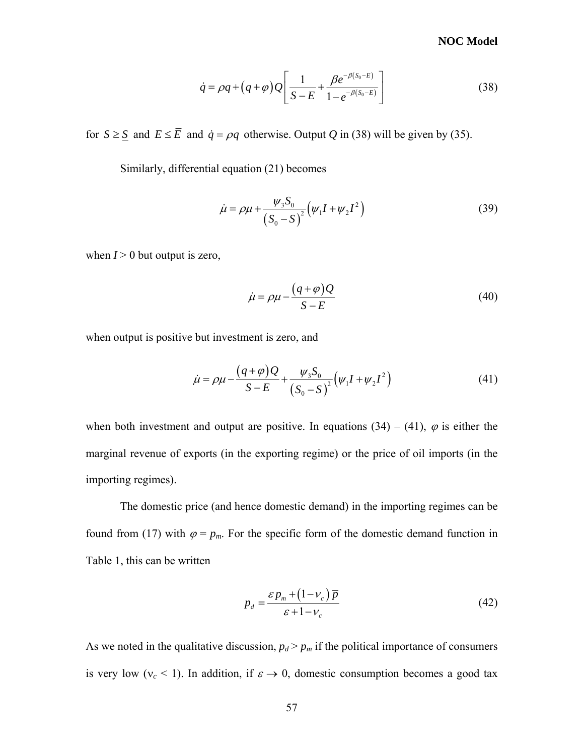#### **NOC Model**

$$
\dot{q} = \rho q + (q + \varphi) Q \left[ \frac{1}{S - E} + \frac{\beta e^{-\beta (S_0 - E)}}{1 - e^{-\beta (S_0 - E)}} \right]
$$
(38)

<span id="page-66-0"></span>for  $S \geq \underline{S}$  and  $E \leq \overline{E}$  and  $\dot{q} = \rho q$  otherwise. Output *Q* in [\(38\)](#page-66-0) will be given by [\(35\).](#page-65-2)

Similarly, differential equation [\(21\)](#page-34-6) becomes

$$
\dot{\mu} = \rho \mu + \frac{\psi_3 S_0}{(S_0 - S)^2} \left( \psi_1 I + \psi_2 I^2 \right)
$$
 (39)

<span id="page-66-2"></span>when  $I > 0$  but output is zero,

$$
\dot{\mu} = \rho \mu - \frac{(q + \varphi)Q}{S - E} \tag{40}
$$

<span id="page-66-1"></span>when output is positive but investment is zero, and

$$
\dot{\mu} = \rho \mu - \frac{(q+\varphi)Q}{S-E} + \frac{\psi_3 S_0}{(S_0 - S)^2} (\psi_1 I + \psi_2 I^2)
$$
\n(41)

when both investment and output are positive. In equations [\(34\)](#page-65-3) – [\(41\)](#page-66-1),  $\varphi$  is either the marginal revenue of exports (in the exporting regime) or the price of oil imports (in the importing regimes).

The domestic price (and hence domestic demand) in the importing regimes can be found from [\(17\)](#page-34-4) with  $\varphi = p_m$ . For the specific form of the domestic demand function in Table 1, this can be written

$$
p_d = \frac{\varepsilon p_m + (1 - v_c) \overline{p}}{\varepsilon + 1 - v_c} \tag{42}
$$

As we noted in the qualitative discussion,  $p_d > p_m$  if the political importance of consumers is very low ( $v_c$  < 1). In addition, if  $\varepsilon \to 0$ , domestic consumption becomes a good tax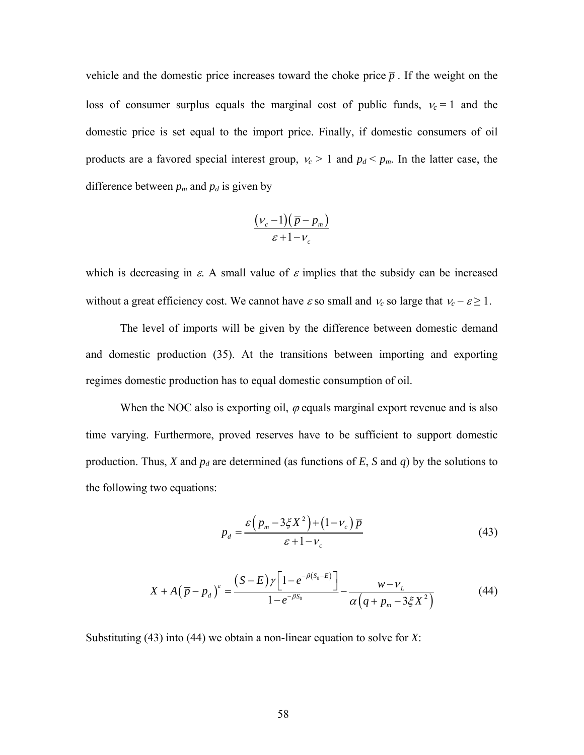vehicle and the domestic price increases toward the choke price  $\bar{p}$ . If the weight on the loss of consumer surplus equals the marginal cost of public funds,  $v_c = 1$  and the domestic price is set equal to the import price. Finally, if domestic consumers of oil products are a favored special interest group,  $v_c > 1$  and  $p_d < p_m$ . In the latter case, the difference between  $p_m$  and  $p_d$  is given by

$$
\frac{(\nu_c - 1)(\overline{p} - p_m)}{\varepsilon + 1 - \nu_c}
$$

which is decreasing in  $\varepsilon$ . A small value of  $\varepsilon$  implies that the subsidy can be increased without a great efficiency cost. We cannot have  $\varepsilon$  so small and  $v_c$  so large that  $v_c - \varepsilon \ge 1$ .

The level of imports will be given by the difference between domestic demand and domestic production [\(35\)](#page-65-2). At the transitions between importing and exporting regimes domestic production has to equal domestic consumption of oil.

<span id="page-67-0"></span>When the NOC also is exporting oil,  $\varphi$  equals marginal export revenue and is also time varying. Furthermore, proved reserves have to be sufficient to support domestic production. Thus, *X* and  $p_d$  are determined (as functions of *E*, *S* and *q*) by the solutions to the following two equations:

$$
p_d = \frac{\varepsilon \left( p_m - 3\xi X^2 \right) + \left( 1 - v_c \right) \overline{p}}{\varepsilon + 1 - v_c} \tag{43}
$$

$$
X + A(\overline{p} - p_d)^{\varepsilon} = \frac{(S - E)\gamma \left[1 - e^{-\beta(S_0 - E)}\right]}{1 - e^{-\beta S_0}} - \frac{w - v_L}{\alpha \left(q + p_m - 3\xi X^2\right)}
$$
(44)

<span id="page-67-1"></span>Substituting [\(43\)](#page-67-0) into [\(44\)](#page-67-1) we obtain a non-linear equation to solve for *X*: